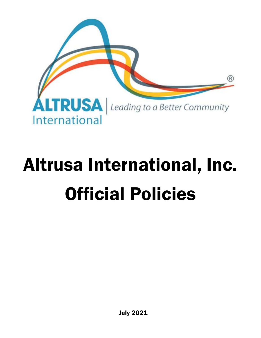

# Altrusa International, Inc. Official Policies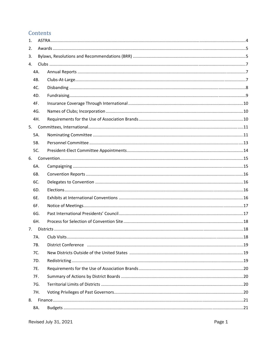# Contents

|    | 8A. |  |
|----|-----|--|
| 8. |     |  |
|    | 7H. |  |
|    | 7G. |  |
|    | 7F. |  |
|    | 7E. |  |
|    | 7D. |  |
|    | 7C. |  |
|    | 7B. |  |
|    | 7A. |  |
|    |     |  |
|    | 6H. |  |
|    | 6G. |  |
|    | 6F. |  |
|    | 6E. |  |
|    | 6D. |  |
|    | 6C. |  |
|    | 6B. |  |
|    | 6A. |  |
| 6. |     |  |
|    | 5C. |  |
|    | 5B. |  |
|    | 5A. |  |
| 5. |     |  |
|    | 4H. |  |
|    | 4G. |  |
|    | 4F. |  |
|    | 4D. |  |
|    | 4C. |  |
|    | 4B. |  |
|    | 4A. |  |
| 4. |     |  |
| 3. |     |  |
| 2. |     |  |
| 1. |     |  |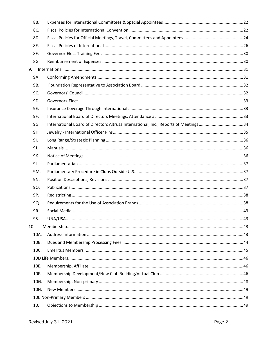|     | 8B.  |                                                                                     |  |
|-----|------|-------------------------------------------------------------------------------------|--|
|     | 8C.  |                                                                                     |  |
|     | 8D.  |                                                                                     |  |
|     | 8E.  |                                                                                     |  |
|     | 8F.  |                                                                                     |  |
|     | 8G.  |                                                                                     |  |
| 9.  |      |                                                                                     |  |
|     | 9A.  |                                                                                     |  |
|     | 9B.  |                                                                                     |  |
|     | 9C.  |                                                                                     |  |
|     | 9D.  |                                                                                     |  |
|     | 9E.  |                                                                                     |  |
|     | 9F.  |                                                                                     |  |
|     | 9G.  | International Board of Directors Altrusa International, Inc., Reports of Meetings34 |  |
|     | 9H.  |                                                                                     |  |
|     | 91.  |                                                                                     |  |
|     | 9J.  |                                                                                     |  |
|     | 9K.  |                                                                                     |  |
|     | 9L.  |                                                                                     |  |
|     | 9M.  |                                                                                     |  |
|     | 9N.  |                                                                                     |  |
|     | 90.  |                                                                                     |  |
|     | 9P.  |                                                                                     |  |
|     | 9Q.  |                                                                                     |  |
|     | 9R.  |                                                                                     |  |
|     | 9S.  |                                                                                     |  |
| 10. |      |                                                                                     |  |
|     | 10A. |                                                                                     |  |
|     | 10B. |                                                                                     |  |
|     | 10C. |                                                                                     |  |
|     |      |                                                                                     |  |
|     | 10E. |                                                                                     |  |
|     | 10F. |                                                                                     |  |
|     | 10G. |                                                                                     |  |
|     | 10H. |                                                                                     |  |
|     |      |                                                                                     |  |
|     | 10J. |                                                                                     |  |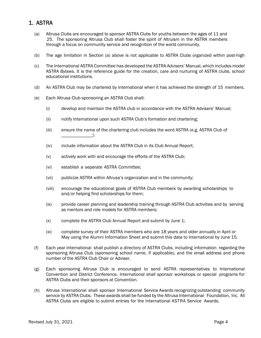# 1. ASTRA

- (a) Altrusa Clubs are encouraged to sponsor ASTRA Clubs for youths between the ages of 11 and 25. The sponsoring Altrusa Club shall foster the spirit of Altruism in the ASTRA members through a focus on community service and recognition of the world community.
- (b) The age limitation in Section (a) above is not applicable to ASTRA Clubs organized within post-high
- (c) The International ASTRA Committee has developed the ASTRA Advisers' Manual, which includes model ASTRA Bylaws. It is the reference guide for the creation, care and nurturing of ASTRA clubs. school educational institutions.
- (d) An ASTRA Club may be chartered by International when it has achieved the strength of 15 members.
- (e) Each Altrusa Club sponsoring an ASTRA Club shall:
	- (i) develop and maintain the ASTRA club in accordance with the ASTRA Advisers' Manual;
	- (ii) notify International upon such ASTRA Club's formation and chartering;
	- (iii) ensure the name of the chartering club includes the word ASTRA (e.g. ASTRA Club of  $\_\_$
	- (iv) include information about the ASTRA Club in its Club Annual Report;
	- (v) actively work with and encourage the efforts of the ASTRA Club;
	- (vi) establish a separate ASTRA Committee;
	- (vii) publicize ASTRA within Altrusa's organization and in the community;
	- (viii) encourage the educational goals of ASTRA Club members by awarding scholarships to and/or helping find scholarships for them;
	- (ix) provide career planning and leadership training through ASTRA Club activities and by serving as mentors and role models for ASTRA members;
	- (x) complete the ASTRA Club Annual Report and submit by June 1;
	- (xi) complete survey of their ASTRA members who are 18 years and older annually in April or May using the Alumni Information Sheet and submit this data to International by June 15.
- (f) Each year International shall publish a directory of ASTRA Clubs, including information regarding the sponsoring Altrusa Club (sponsoring school name, if applicable), and the email address and phone number of the ASTRA Club Chair or Adviser.
- (g) Each sponsoring Altrusa Club is encouraged to send ASTRA representatives to International Convention and District Conference. International shall sponsor workshops or special programs for ASTRA Clubs and their sponsors at Convention.
- (h) Altrusa International shall sponsor International Service Awards recognizing outstanding community service by ASTRA Clubs. These awards shall be funded by the Altrusa International Foundation, Inc. All ASTRA Clubs are eligible to submit entries for the International ASTRA Service Awards.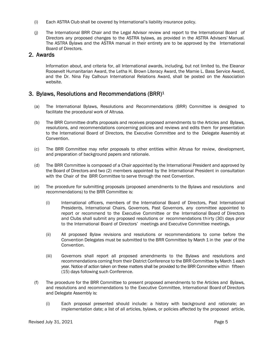- (i) Each ASTRA Club shall be covered by International's liability insurance policy.
- (j) The International BRR Chair and the Legal Advisor review and report to the International Board of Directors any proposed changes to the ASTRA bylaws, as provided in the ASTRA Advisers' Manual. The ASTRA Bylaws and the ASTRA manual in their entirety are to be approved by the International Board of Directors.

## 2. Awards

Information about, and criteria for, all International awards, including, but not limited to, the Eleanor Roosevelt Humanitarian Award, the Letha H. Brown Literacy Award, the Mamie L. Bass Service Award, and the Dr. Nina Fay Calhoun International Relations Award, shall be posted on the Association website.

# 3. Bylaws, Resolutions and Recommendations (BRR)1

- (a) The International Bylaws, Resolutions and Recommendations (BRR) Committee is designed to facilitate the procedural work of Altrusa.
- (b) The BRR Committee drafts proposals and receives proposed amendments to the Articles and Bylaws, resolutions, and recommendations concerning policies and reviews and edits them for presentation to the International Board of Directors, the Executive Committee and to the Delegate Assembly at Convention.
- (c) The BRR Committee may refer proposals to other entities within Altrusa for review, development, and preparation of background papers and rationale.
- (d) The BRR Committee is composed of a Chair appointed by the International President and approved by the Board of Directors and two (2) members appointed by the International President in consultation with the Chair of the BRR Committee to serve through the next Convention.
- (e) The procedure for submitting proposals (proposed amendments to the Bylaws and resolutions and recommendations) to the BRR Committee is:
	- (i) International officers, members of the International Board of Directors, Past International Presidents, International Chairs, Governors, Past Governors, any committee appointed to report or recommend to the Executive Committee or the International Board of Directors and Clubs shall submit any proposed resolutions or recommendations thirty (30) days prior to the International Board of Directors' meetings and Executive Committee meetings.
	- (ii) All proposed Bylaw revisions and resolutions or recommendations to come before the Convention Delegates must be submitted to the BRR Committee by March 1 in the year of the Convention.
	- (iii) Governors shall report all proposed amendments to the Bylaws and resolutions and recommendations coming from their District Conference to the BRR Committee by March 1 each year. Notice of action taken on these matters shall be provided to the BRR Committee within fifteen (15) days following such Conference.
- (f) The procedure for the BRR Committee to present proposed amendments to the Articles and Bylaws, and resolutions and recommendations to the Executive Committee, International Board of Directors and Delegate Assembly is:
	- (i) Each proposal presented should include: a history with background and rationale; an implementation date; a list of all articles, bylaws, or policies affected by the proposed article,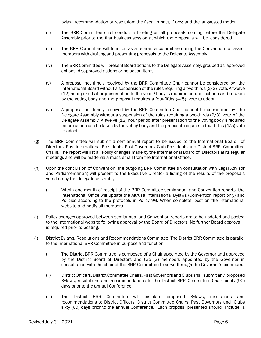bylaw, recommendation or resolution; the fiscal impact, if any; and the suggested motion.

- (ii) The BRR Committee shall conduct a briefing on all proposals coming before the Delegate Assembly prior to the first business session at which the proposals will be considered.
- (iii) The BRR Committee will function as a reference committee during the Convention to assist members with drafting and presenting proposals to the Delegate Assembly.
- (iv) The BRR Committee will present Board actions to the Delegate Assembly, grouped as approved actions, disapproved actions or no action items.
- (v) A proposal not timely received by the BRR Committee Chair cannot be considered by the International Board without a suspension of the rules requiring a two-thirds (2/3) vote. A twelve (12) hour period after presentation to the voting body is required before action can be taken by the voting body and the proposal requires a four-fifths (4/5) vote to adopt.
- (vi) A proposal not timely received by the BRR Committee Chair cannot be considered by the Delegate Assembly without a suspension of the rules requiring a two-thirds (2/3) vote of the Delegate Assembly. A twelve (12) hour period after presentation to the voting body is required before action can be taken by the voting body and the proposal requires a four-fifths (4/5) vote to adopt.
- (g) The BRR Committee will submit a semiannual report to be issued to the International Board of Directors, Past International Presidents, Past Governors, Club Presidents and District BRR Committee Chairs. The report will list all Policy changes made by the International Board of Directors at its regular meetings and will be made via a mass email from the International Office.
- (h) Upon the conclusion of Convention, the outgoing BRR Committee (in consultation with Legal Advisor and Parliamentarian) will present to the Executive Director a listing of the results of the proposals voted on by the delegate assembly.
	- (i) Within one month of receipt of the BRR Committee semiannual and Convention reports, the International Office will update the Altrusa International Bylaws (Convention report only) and Policies according to the protocols in Policy 9G. When complete, post on the International website and notify all members.
- (i) Policy changes approved between semiannual and Convention reports are to be updated and posted to the International website following approval by the Board of Directors. No further Board approval is required prior to posting.
- (j) District Bylaws, Resolutions and Recommendations Committee: The District BRR Committee is parallel to the International BRR Committee in purpose and function.
	- (i) The District BRR Committee is composed of a Chair appointed by the Governor and approved by the District Board of Directors and two (2) members appointed by the Governor in consultation with the chair of the BRR Committee to serve through the Governor's biennium.
	- (ii) District Officers, District Committee Chairs, Past Governors and Clubs shall submit any proposed Bylaws, resolutions and recommendations to the District BRR Committee Chair ninety (90) days prior to the annual Conference.
	- (iii) The District BRR Committee will circulate proposed Bylaws, resolutions and recommendations to District Officers, District Committee Chairs, Past Governors and Clubs sixty (60) days prior to the annual Conference. Each proposal presented should include a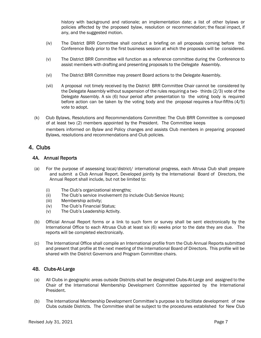history with background and rationale; an implementation date; a list of other bylaws or policies affected by the proposed bylaw, resolution or recommendation; the fiscal impact, if any, and the suggested motion.

- (iv) The District BRR Committee shall conduct a briefing on all proposals coming before the Conference Body prior to the first business session at which the proposals will be considered.
- (v) The District BRR Committee will function as a reference committee during the Conference to assist members with drafting and presenting proposals to the Delegate Assembly.
- (vi) The District BRR Committee may present Board actions to the Delegate Assembly.
- (vii) A proposal not timely received by the District BRR Committee Chair cannot be considered by the Delegate Assembly without suspension of the rules requiring a two- thirds (2/3) vote of the Delegate Assembly. A six (6) hour period after presentation to the voting body is required before action can be taken by the voting body and the proposal requires a four-fifths (4/5) vote to adopt.
- (k) Club Bylaws, Resolutions and Recommendations Committee: The Club BRR Committee is composed of at least two (2) members appointed by the President. The Committee keeps members informed on Bylaw and Policy changes and assists Club members in preparing proposed Bylaws, resolutions and recommendations and Club policies.

# 4. Clubs

#### 4A. Annual Reports

- (a) For the purpose of assessing local/district/ international progress, each Altrusa Club shall prepare and submit a Club Annual Report. Developed jointly by the International Board of Directors, the Annual Report shall include, but not be limited to:
	- (i) The Club's organizational strengths;
	- (ii) The Club's service involvement (to include Club Service Hours);
	- (iii) Membership activity;
	- (iv) The Club's Financial Status;
	- (v) The Club's Leadership Activity.
- (b) Official Annual Report forms or a link to such form or survey shall be sent electronically by the International Office to each Altrusa Club at least six (6) weeks prior to the date they are due. The reports will be completed electronically.
- (c) The International Office shall compile an International profile from the Club Annual Reports submitted and present that profile at the next meeting of the International Board of Directors. This profile will be shared with the District Governors and Program Committee chairs.

#### 4B. Clubs-At-Large

- (a) All Clubs in geographic areas outside Districts shall be designated Clubs-At-Large and assigned to the Chair of the International Membership Development Committee appointed by the International President.
- (b) The International Membership Development Committee's purpose is to facilitate development of new Clubs outside Districts. The Committee shall be subject to the procedures established for New Club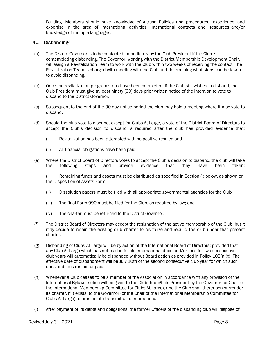Building. Members should have knowledge of Altrusa Policies and procedures, experience and expertise in the area of International activities, international contacts and resources and/or knowledge of multiple languages.

#### 4C. Disbanding2

- (a) The District Governor is to be contacted immediately by the Club President if the Club is contemplating disbanding. The Governor, working with the District Membership Development Chair, will assign a Revitalization Team to work with the Club within two weeks of receiving the contact. The Revitalization Team is charged with meeting with the Club and determining what steps can be taken to avoid disbanding.
- (b) Once the revitalization program steps have been completed, if the Club still wishes to disband, the Club President must give at least ninety (90) days prior written notice of the intention to vote to disband to the District Governor.
- (c) Subsequent to the end of the 90-day notice period the club may hold a meeting where it may vote to disband.
- (d) Should the club vote to disband, except for Clubs-At-Large, a vote of the District Board of Directors to accept the Club's decision to disband is required after the club has provided evidence that:
	- (i) Revitalization has been attempted with no positive results; and
	- (ii) All financial obligations have been paid.
- (e) Where the District Board of Directors votes to accept the Club's decision to disband, the club will take the following steps and provide evidence that they have been taken:

(i) Remaining funds and assets must be distributed as specified in Section (i) below, as shown on the Disposition of Assets Form;

- (ii) Dissolution papers must be filed with all appropriate governmental agencies for the Club
- (iii) The final Form 990 must be filed for the Club, as required by law; and
- (iv) The charter must be returned to the District Governor.
- (f) The District Board of Directors may accept the resignation of the active membership of the Club, but it may decide to retain the existing club charter to revitalize and rebuild the club under that present charter.
- (g) Disbanding of Clubs-At-Large will be by action of the International Board of Directors; provided that any Club-At-Large which has not paid in full its International dues and/or fees for two consecutive club years will automatically be disbanded without Board action as provided in Policy 10B(a)(x). The effective date of disbandment will be July 10th of the second consecutive club year for which such dues and fees remain unpaid.
- (h) Whenever a Club ceases to be a member of the Association in accordance with any provision of the International Bylaws, notice will be given to the Club through its President by the Governor (or Chair of the International Membership Committee for Clubs-At-Large), and the Club shall thereupon surrender its charter, if it exists, to the Governor (or the Chair of the International Membership Committee for Clubs-At-Large) for immediate transmittal to International.
- (i) After payment of its debts and obligations, the former Officers of the disbanding club will dispose of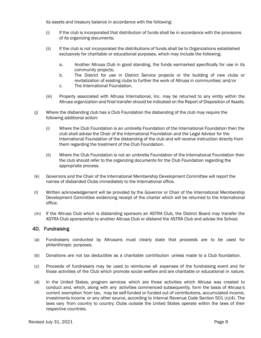its assets and treasury balance in accordance with the following:

- (i) If the club is incorporated that distribution of funds shall be in accordance with the provisions of its organizing documents;
- (ii) If the club is not incorporated the distributions of funds shall be to Organizations established exclusively for charitable or educational purposes, which may include the following;
	- a. Another Altrusa Club in good standing, the funds earmarked specifically for use in its community projects;
	- b. The District for use in District Service projects or the building of new clubs or revitalization of existing clubs to further the work of Altrusa in communities; and/or
	- c. The International Foundation.
- (iii) Property associated with Altrusa International, Inc. may be returned to any entity within the Altrusa organization and final transfer should be indicated on the Report of Disposition of Assets.
- (j) Where the disbanding club has a Club Foundation the disbanding of the club may require the following additional action:
	- (i) Where the Club Foundation is an umbrella Foundation of the International Foundation then the club shall advise the Chair of the International Foundation and the Legal Advisor for the International Foundation of the disbanding of the club and will receive instruction directly from them regarding the treatment of the Club Foundation.
	- (ii) Where the Club Foundation is not an umbrella Foundation of the International Foundation then the club should refer to the organizing documents for the Club Foundation regarding the appropriate process.
- (k) Governors and the Chair of the International Membership Development Committee will report the names of disbanded Clubs immediately to the International office.
- (l) Written acknowledgement will be provided by the Governor or Chair of the International Membership Development Committee evidencing receipt of the charter which will be returned to the International office.
- (m) If the Altrusa Club which is disbanding sponsors an ASTRA Club, the District Board may transfer the ASTRA Club sponsorship to another Altrusa Club or disband the ASTRA Club and advise the School.

#### 4D. Fundraising

- (a) Fundraisers conducted by Altrusans must clearly state that proceeds are to be used for philanthropic purposes.
- (b) Donations are not tax deductible as a charitable contribution unless made to a Club foundation.
- (c) Proceeds of fundraisers may be used to reimburse all expenses of the fundraising event and for those activities of the Club which promote social welfare and are charitable or educational in nature.
- (d) In the United States, program services which are those activities which Altrusa was created to conduct and, which, along with any activities commenced subsequently, form the basis of Altrusa's current exemption from tax, may be self-funded or funded out of contributions, accumulated income, investments income or any other source, according to Internal Revenue Code Section 501 (c)(4). The laws vary from country to country. Clubs outside the United States operate within the laws of their respective countries.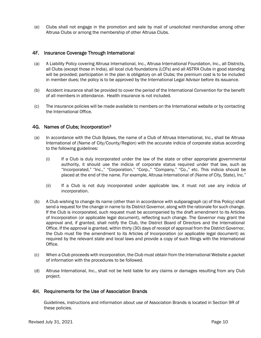(e) Clubs shall not engage in the promotion and sale by mail of unsolicited merchandise among other Altrusa Clubs or among the membership of other Altrusa Clubs.

#### 4F. Insurance Coverage Through International

- (a) A Liability Policy covering Altrusa International, Inc., Altrusa International Foundation, Inc., all Districts, all Clubs (except those in India), all local club foundations (LCFs) and all ASTRA Clubs in good standing will be provided; participation in the plan is obligatory on all Clubs; the premium cost is to be included in member dues; the policy is to be approved by the International Legal Advisor before its issuance.
- (b) Accident insurance shall be provided to cover the period of the International Convention for the benefit of all members in attendance. Health insurance is not included.
- (c) The insurance policies will be made available to members on the International website or by contacting the International Office.

#### 4G. Names of Clubs; Incorporation3

- (a) In accordance with the Club Bylaws, the name of a Club of Altrusa International, Inc., shall be Altrusa International of (Name of City/County/Region) with the accurate indicia of corporate status according to the following guidelines:
	- (i) If a Club is duly incorporated under the law of the state or other appropriate governmental authority, it should use the indicia of corporate status required under that law, such as "Incorporated," "Inc.," "Corporation," "Corp.," "Company," "Co.," etc. This indicia should be placed at the end of the name. For example, Altrusa International of (Name of City, State), Inc."
	- (ii) If a Club is not duly incorporated under applicable law, it must not use any indicia of incorporation.
- (b) A Club wishing to change its name (other than in accordance with subparagraph (a) of this Policy) shall send a request for the change in name to its District Governor, along with the rationale for such change. If the Club is incorporated, such request must be accompanied by the draft amendment to its Articles of Incorporation (or applicable legal document), reflecting such change. The Governor may grant the approval and, if granted, shall notify the Club, the District Board of Directors and the International Office. If the approval is granted, within thirty (30) days of receipt of approval from the District Governor, the Club must file the amendment to its Articles of Incorporation (or applicable legal document) as required by the relevant state and local laws and provide a copy of such filings with the International Office.
- (c) When a Club proceeds with incorporation, the Club must obtain from the International Website a packet of information with the procedures to be followed.
- (d) Altrusa International, Inc., shall not be held liable for any claims or damages resulting from any Club project.

#### 4H. Requirements for the Use of Association Brands

Guidelines, instructions and information about use of Association Brands is located in Section 9R of these policies.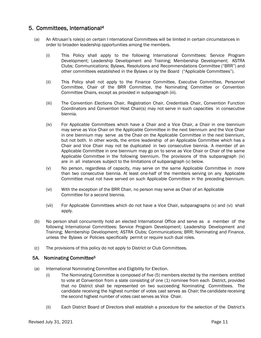# 5. Committees, International4

- (a) An Altrusan's role(s) on certain I nternational Committees will be limited in certain circumstances in order to broaden leadership opportunities among the members.
	- (i) This Policy shall apply to the following International Committees: Service Program Development; Leadership Development and Training; Membership Development; ASTRA Clubs; Communications; Bylaws, Resolutions and Recommendations Committee ("BRR") and other committees established in the Bylaws or by the Board ("Applicable Committees").
	- (ii) This Policy shall not apply to the Finance Committee, Executive Committee, Personnel Committee, Chair of the BRR Committee, the Nominating Committee or Convention Committee Chairs, except as provided in subparagraph (iii).
	- (iii) The Convention Elections Chair, Registration Chair, Credentials Chair, Convention Function Coordinators and Convention Host Chair(s) may not serve in such capacities in consecutive biennia.
	- (iv) For Applicable Committees which have a Chair and a Vice Chair, a Chair in one biennium may serve as Vice Chair on the Applicable Committee in the next biennium and the Vice Chair in one biennium may serve as the Chair on the Applicable Committee in the next biennium, but not both. In other words, the entire leadership of an Applicable Committee which has a Chair and Vice Chair may not be duplicated in two consecutive biennia. A member of an Applicable Committee in one biennium may go on to serve as Vice Chair or Chair of the same Applicable Committee in the following biennium. The provisions of this subparagraph (iv) are in all instances subject to the limitations of subparagraph (v) below.
	- (v) No person, regardless of capacity, may serve on the same Applicable Committee in more than two consecutive biennia. At least one-half of the members serving on any Applicable Committee must not have served on such Applicable Committee in the preceding biennium.
	- (vi) With the exception of the BRR Chair, no person may serve as Chair of an Applicable Committee for a second biennia.
	- (vii) For Applicable Committees which do not have a Vice Chair, subparagraphs (v) and (vi) shall apply.
- (b) No person shall concurrently hold an elected International Office and serve as a member of the following International Committees: Service Program Development; Leadership Development and Training; Membership Development; ASTRA Clubs; Communications; BRR; Nominating and Finance, unless the Bylaws or Policies specifically permit or require such dual roles.
- (c) The provisions of this policy do not apply to District or Club Committees.

#### 5A. Nominating Committee5

- (a) International Nominating Committee and Eligibility for Election.
	- (i) The Nominating Committee is composed of five (5) members elected by the members entitled to vote at Convention from a slate consisting of one (1) nominee from each District, provided that no District shall be represented on two succeeding Nominating Committees. The candidate receiving the highest number of votes cast serves as Chair; the candidate receiving the second highest number of votes cast serves as Vice Chair.
	- (ii) Each District Board of Directors shall establish a procedure for the selection of the District's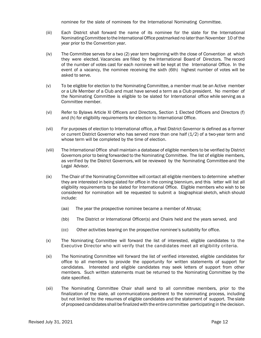nominee for the slate of nominees for the International Nominating Committee.

- (iii) Each District shall forward the name of its nominee for the slate for the International Nominating Committee to the International Office postmarked no later than November 10 of the year prior to the Convention year.
- (iv) The Committee serves for a two (2) year term beginning with the close of Convention at which they were elected. Vacancies are filled by the International Board of Directors. The record of the number of votes cast for each nominee will be kept at the International Office. In the event of a vacancy, the nominee receiving the sixth (6th) highest number of votes will be asked to serve.
- (v) To be eligible for election to the Nominating Committee, a member must be an Active member or a Life Member of a Club and must have served a term as a Club president. No member of the Nominating Committee is eligible to be slated for International office while serving as a Committee member.
- (vi) Refer to Bylaws Article XI Officers and Directors, Section 1 Elected Officers and Directors (f) and (h) for eligibility requirements for election to International Office.
- (vii) For purposes of election to International office, a Past District Governor is defined as a former or current District Governor who has served more than one half (1/2) of a two-year term and whose term will be completed by the time of election.
- (viii) The International Office shall maintain a database of eligible members to be verified by District Governors prior to being forwarded to the Nominating Committee. The list of eligible members, as verified by the District Governors, will be reviewed by the Nominating Committee-and the Legal Advisor.
- (ix) The Chair of the Nominating Committee will contact all eligible members to determine whether they are interested in being slated for office in the coming biennium, and this letter will list all eligibility requirements to be slated for International Office. Eligible members who wish to be considered for nomination will be requested to submit a biographical sketch, which should include:
	- (aa) The year the prospective nominee became a member of Altrusa;
	- (bb) The District or International Officer(s) and Chairs held and the years served, and
	- (cc) Other activities bearing on the prospective nominee's suitability for office.
- (x) The Nominating Committee will forward the list of interested, eligible candidates to the Executive Director who will verify that the candidates meet all eligibility criteria.
- (xi) The Nominating Committee will forward the list of verified interested, eligible candidates for office to all members to provide the opportunity for written statements of support for candidates. Interested and eligible candidates may seek letters of support from other members. Such written statements must be returned to the Nominating Committee by the date specified.
- (xii) The Nominating Committee Chair shall send to all committee members, prior to the finalization of the slate, all communications pertinent to the nominating process, including but not limited to: the resumes of eligible candidates and the statement of support. The slate of proposed candidates shall be finalized with the entire committee participating in the decision.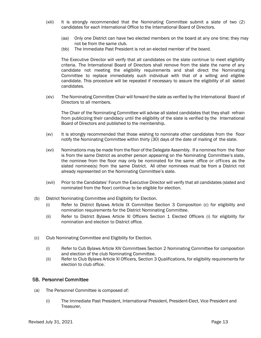- (xiii) It is strongly recommended that the Nominating Committee submit a slate of two (2) candidates for each International Office to the International Board of Directors.
	- (aa) Only one District can have two elected members on the board at any one time; they may not be from the same club.
	- (bb) The Immediate Past President is not an elected member of the board.

The Executive Director will verify that all candidates on the slate continue to meet eligibility criteria. The International Board of Directors shall remove from the slate the name of any candidate not meeting the eligibility requirements and shall direct the Nominating Committee to replace immediately such individual with that of a willing and eligible candidate. This procedure will be repeated if necessary to assure the eligibility of all slated candidates.

(xiv) The Nominating Committee Chair will forward the slate as verified by the International Board of Directors to all members.

The Chair of the Nominating Committee will advise all slated candidates that they shall refrain from publicizing their candidacy until the eligibility of the slate is verified by the International Board of Directors and published to the membership.

- (xv) It is strongly recommended that those wishing to nominate other candidates from the floor notify the Nominating Committee within thirty (30) days of the date of mailing of the slate.
- (xvi) Nominations may be made from the floor of the Delegate Assembly. If a nominee from the floor is from the same District as another person appearing on the Nominating Committee's slate, the nominee from the floor may only be nominated for the same office or offices as the slated nominee(s) from the same District. All other nominees must be from a District not already represented on the Nominating Committee's slate.
- (xvii) Prior to the Candidates' Forum the Executive Director will verify that all candidates (slated and nominated from the floor) continue to be eligible for election.
- (b) District Nominating Committee and Eligibility for Election.
	- (i) Refer to District Bylaws Article IX Committee Section 3 Composition (c) for eligibility and nomination requirements for the District Nominating Committee.
	- (ii) Refer to District Bylaws Article XI Officers Section 1 Elected Officers (i) for eligibility for nomination and election to District office.
- (c) Club Nominating Committee and Eligibility for Election.
	- (i) Refer to Cub Bylaws Article XIV Committees Section 2 Nominating Committee for composition and election of the club Nominating Committee.
	- (ii) Refer to Club Bylaws Article XI Officers, Section 3 Qualifications, for eligibility requirements for election to club office.

#### 5B. Personnel Committee

- (a) The Personnel Committee is composed of:
	- (i) The Immediate Past President, International President, President-Elect, Vice President and Treasurer,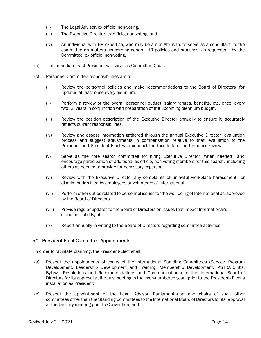- (ii) The Legal Advisor, ex officio, non-voting,
- (iii) The Executive Director, ex officio, non-voting, and
- (iv) An individual with HR expertise, who may be a non-Altrusan, to serve as a consultant to the committee on matters concerning general HR policies and practices, as requested by the Committee, ex officio, non-voting.
- (b) The Immediate Past President will serve as Committee Chair.
- (c) Personnel Committee responsibilities are to:
	- (i) Review the personnel policies and make recommendations to the Board of Directors for updates at least once every biennium.
	- (ii) Perform a review of the overall personnel budget, salary ranges, benefits, etc. once every two (2) years in conjunction with preparation of the upcoming biennium budget.
	- (iii) Review the position description of the Executive Director annually to ensure it accurately reflects current responsibilities.
	- (iv) Review and assess information gathered through the annual Executive Director evaluation process and suggest adjustments in compensation relative to that evaluation to the President and President Elect who conduct the face-to-face performance review.
	- (v) Serve as the core search committee for hiring Executive Director (when needed); and encourage participation of additional ex-officio, non-voting members for this search, including others as needed to provide for necessary expertise.
	- (vi) Review with the Executive Director any complaints of unlawful workplace harassment or discrimination filed by employees or volunteers of International.
	- (vii) Perform other duties related to personnel issues for the well-being of International as approved by the Board of Directors.
	- (viii) Provide regular updates to the Board of Directors on issues that impact International's standing, liability, etc.
	- (ix) Report annually in writing to the Board of Directors regarding committee activities.

#### 5C. President-Elect Committee Appointments

In order to facilitate planning, the President-Elect shall:

- (a) Present the appointments of chairs of the International Standing Committees (Service Program Development, Leadership Development and Training, Membership Development, ASTRA Clubs, Bylaws, Resolutions and Recommendations and Communications) to the International Board of Directors for its approval at the July meeting in the even-numbered year prior to the President- Elect's installation as President;
- (b) Present the appointment of the Legal Advisor, Parliamentarian and chairs of such other committees other than the Standing Committees to the International Board of Directors for its approval at the January meeting prior to Convention; and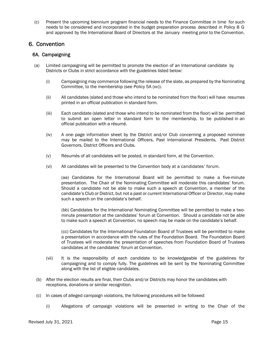(c) Present the upcoming biennium program financial needs to the Finance Committee in time for such needs to be considered and incorporated in the budget preparation process described in Policy 8 G and approved by the International Board of Directors at the January meeting prior to the Convention.

# 6. Convention

#### 6A. Campaigning

- (a) Limited campaigning will be permitted to promote the election of an International candidate by Districts or Clubs in strict accordance with the guidelines listed below:
	- (i) Campaigning may commence following the release of the slate, as prepared by the Nominating Committee, to the membership (see Policy 5A (xv)).
	- (ii) All candidates (slated and those who intend to be nominated from the floor) will have resumes printed in an official publication in standard form.
	- (iii) Each candidate (slated and those who intend to be nominated from the floor) will be permitted to submit an open letter in standard form to the membership, to be published in an official publication with a résumé.
	- (iv) A one- page information sheet by the District and/or Club concerning a proposed nominee may be mailed to the International Officers, Past International Presidents, Past District Governors, District Officers and Clubs.
	- (v) Résumés of all candidates will be posted, in standard form, at the Convention.
	- (vi) All candidates will be presented to the Convention body at a candidates' forum.

(aa) Candidates for the International Board will be permitted to make a five-minute presentation. The Chair of the Nominating Committee will moderate this candidates' forum. Should a candidate not be able to make such a speech at Convention, a member of the candidate's Club or District, but not a past or current International Officer or Director, may make such a speech on the candidate's behalf.

(bb) Candidates for the International Nominating Committee will be permitted to make a twominute presentation at the candidates' forum at Convention. Should a candidate not be able to make such a speech at Convention, no speech may be made on the candidate's behalf.

(cc) Candidates for the International Foundation Board of Trustees will be permitted to make a presentation in accordance with the rules of the Foundation Board. The Foundation Board of Trustees will moderate the presentation of speeches from Foundation Board of Trustees candidates at the candidates' forum at Convention.

- (vii) It is the responsibility of each candidate to be knowledgeable of the guidelines for campaigning and to comply fully. The guidelines will be sent by the Nominating Committee along with the list of eligible candidates.
- (b) After the election results are final, their Clubs and/or Districts may honor the candidates with receptions, donations or similar recognition.
- (c) In cases of alleged campaign violations, the following procedures will be followed:
	- (i) Allegations of campaign violations will be presented in writing to the Chair of the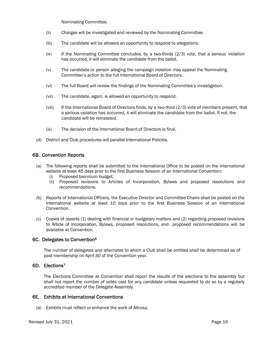Nominating Committee.

- (ii) Charges will be investigated and reviewed by the Nominating Committee.
- (iii) The candidate will be allowed an opportunity to respond to allegations.
- $(iv)$  If the Nominating Committee concludes, by a two-thirds  $(2/3)$  vote, that a serious violation has occurred, it will eliminate the candidate from the ballot.
- (v) The candidate or person alleging the campaign violation may appeal the Nominating Committee's action to the full International Board of Directors.
- (vi) The full Board will review the findings of the Nominating Committee's investigation.
- (vii) The candidate, again, is allowed an opportunity to respond.
- (viii) If the International Board of Directors finds, by a two-third (2/3) vote of members present, that a serious violation has occurred, it will eliminate the candidate from the ballot. If not, the candidate will be reinstated.
- (ix) The decision of the International Board of Directors is final.
- (d) District and Club procedures will parallel International Policies.

#### 6B. Convention Reports

- (a) The following reports shall be submitted to the International Office to be posted on the International website at least 45 days prior to the first Business Session of an International Convention:
	- (i) Proposed biennium budget;
	- (ii) Proposed revisions to Articles of Incorporation, Bylaws and proposed resolutions and recommendations.
- (b) Reports of International Officers, the Executive Director and Committee Chairs shall be posted on the International website at least 10 days prior to the first Business Session of an International Convention.
- (c) Copies of reports (1) dealing with financial or budgetary matters and (2) regarding proposed revisions to Article of Incorporation, Bylaws, proposed resolutions, and proposed recommendations will be available at Convention.

#### 6C. Delegates to Convention6

The number of delegates and alternates to which a Club shall be entitled shall be determined as of paid membership on April 30 of the Convention year.

#### 6D. Elections7

The Elections Committee at Convention shall report the results of the elections to the assembly but shall not report the number of votes cast for any candidate unless requested to do so by a regularly accredited member of the Delegate Assembly.

#### 6E. Exhibits at International Conventions

(a) Exhibits must reflect or enhance the work of Altrusa.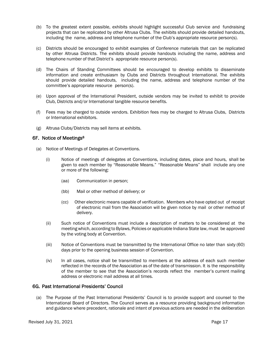- (b) To the greatest extent possible, exhibits should highlight successful Club service and fundraising projects that can be replicated by other Altrusa Clubs. The exhibits should provide detailed handouts, including the name, address and telephone number of the Club's appropriate resource person(s).
- (c) Districts should be encouraged to exhibit examples of Conference materials that can be replicated by other Altrusa Districts. The exhibits should provide handouts including the name, address and telephone number of that District's appropriate resource person(s).
- (d) The Chairs of Standing Committees should be encouraged to develop exhibits to disseminate information and create enthusiasm by Clubs and Districts throughout International. The exhibits should provide detailed handouts, including the name, address and telephone number of the committee's appropriate resource person(s).
- (e) Upon approval of the International President, outside vendors may be invited to exhibit to provide Club, Districts and/or International tangible resource benefits.
- (f) Fees may be charged to outside vendors. Exhibition fees may be charged to Altrusa Clubs, Districts or International exhibitors.
- (g) Altrusa Clubs/Districts may sell items at exhibits.

#### 6F. Notice of Meetings8

- (a) Notice of Meetings of Delegates at Conventions.
	- (i) Notice of meetings of delegates at Conventions, including dates, place and hours, shall be given to each member by "Reasonable Means." "Reasonable Means" shall include any one or more of the following:
		- (aa) Communication in person;
		- (bb) Mail or other method of delivery; or
		- (cc) Other electronic means capable of verification. Members who have opted out of receipt of electronic mail from the Association will be given notice by mail or other method of delivery.
	- (ii) Such notice of Conventions must include a description of matters to be considered at the meeting which, according to Bylaws, Policies or applicable Indiana State law, must be approved by the voting body at Convention.
	- (iii) Notice of Conventions must be transmitted by the International Office no later than sixty (60) days prior to the opening business session of Convention.
	- (iv) In all cases, notice shall be transmitted to members at the address of each such member reflected in the records of the Association as of the date of transmission. It is the responsibility of the member to see that the Association's records reflect the member's current mailing address or electronic mail address at all times.

#### 6G. Past International Presidents' Council

(a) The Purpose of the Past International Presidents' Council is to provide support and counsel to the International Board of Directors. The Council serves as a resource providing background information and guidance where precedent, rationale and intent of previous actions are needed in the deliberation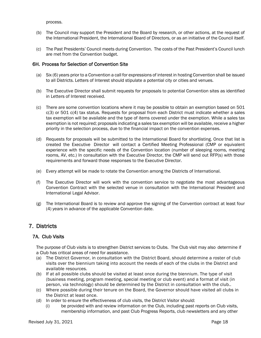process.

- (b) The Council may support the President and the Board by research, or other actions, at the request of the International President, the International Board of Directors, or as an initiative of the Council itself.
- (c) The Past Presidents' Council meets during Convention. The costs of the Past President's Council lunch are met from the Convention budget.

#### 6H. Process for Selection of Convention Site

- (a) Six (6) years prior to a Convention a call for expressions of interest in hosting Convention shall be issued to all Districts. Letters of Interest should stipulate a potential city or cities and venues.
- (b) The Executive Director shall submit requests for proposals to potential Convention sites as identified in Letters of Interest received.
- (c) There are some convention locations where it may be possible to obtain an exemption based on 501  $c(3)$  or 501  $c(4)$  tax status. Requests for proposal from each District must indicate whether a sales tax exemption will be available and the type of items covered under the exemption. While a sales tax exemption is not required; proposals indicating a sales tax exemption will be available, receive a higher priority in the selection process, due to the financial impact on the convention expenses.
- (d) Requests for proposals will be submitted to the International Board for shortlisting. Once that list is created the Executive Director will contact a Certified Meeting Professional (CMP or equivalent experience with the specific needs of the Convention location (number of sleeping rooms, meeting rooms, AV, etc.) In consultation with the Executive Director, the CMP will send out RFP(s) with those requirements and forward those responses to the Executive Director.
- (e) Every attempt will be made to rotate the Convention among the Districts of International.
- (f) The Executive Director will work with the convention service to negotiate the most advantageous Convention Contract with the selected venue in consultation with the International President and International Legal Advisor.
- (g) The International Board is to review and approve the signing of the Convention contract at least four (4) years in advance of the applicable Convention date.

# 7. Districts

#### 7A. Club Visits

The purpose of Club visits is to strengthen District services to Clubs. The Club visit may also determine if a Club has critical areas of need for assistance.

- (a) The District Governor, in consultation with the District Board, should determine a roster of club visits over the biennium taking into account the needs of each of the clubs in the District and available resources.
- (b) If at all possible clubs should be visited at least once during the biennium. The type of visit (business meeting, program meeting, special meeting or club event) and a format of visit (in person, via technology) should be determined by the District in consultation with the club..
- (c) Where possible during their tenure on the Board, the Governor should have visited all clubs in the District at least once.
- (d) In order to ensure the effectiveness of club visits, the District Visitor should:
	- (i) be provided with and review information on the Club, including past reports on Club visits, membership information, and past Club Progress Reports, club newsletters and any other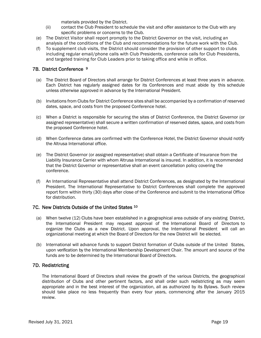materials provided by the District.

- (ii) contact the Club President to schedule the visit and offer assistance to the Club with any specific problems or concerns to the Club.
- (e) The District Visitor shall report promptly to the District Governor on the visit, including an analysis of the conditions of the Club and recommendations for the future work with the Club.
- (f) To supplement club visits, the District should consider the provision of other support to clubs including regular email/phone calls with Club Presidents, conference calls for Club Presidents, and targeted training for Club Leaders prior to taking office and while in office.

#### 7B. District Conference 9

- (a) The District Board of Directors shall arrange for District Conferences at least three years in advance. Each District has regularly assigned dates for its Conferences and must abide by this schedule unless otherwise approved in advance by the International President.
- (b) Invitations from Clubs for District Conference sites shall be accompanied by a confirmation of reserved dates, space, and costs from the proposed Conference hotel.
- (c) When a District is responsible for securing the sites of District Conference, the District Governor (or assigned representative) shall secure a written confirmation of reserved dates, space, and costs from the proposed Conference hotel.
- (d) When Conference dates are confirmed with the Conference Hotel, the District Governor should notify the Altrusa International office.
- (e) The District Governor (or assigned representative) shall obtain a Certificate of Insurance from the Liability Insurance Carrier with whom Altrusa International is insured. In addition, it is recommended that the District Governor or representative shall an event cancellation policy covering the conference.
- (f) An International Representative shall attend District Conferences, as designated by the International President. The International Representative to District Conferences shall complete the approved report form within thirty (30) days after close of the Conference and submit to the International Office for distribution.

#### 7C. New Districts Outside of the United States 10

- (a) When twelve (12) Clubs have been established in a geographical area outside of any existing District, the International President may request approval of the International Board of Directors to organize the Clubs as a new District. Upon approval, the International President will call an organizational meeting at which the Board of Directors for the new District will be elected.
- (b) International will advance funds to support District formation of Clubs outside of the United States, upon verification by the International Membership Development Chair. The amount and source of the funds are to be determined by the International Board of Directors.

#### 7D. Redistricting

The International Board of Directors shall review the growth of the various Districts, the geographical distribution of Clubs and other pertinent factors, and shall order such redistricting as may seem appropriate and in the best interest of the organization, all as authorized by its Bylaws. Such review should take place no less frequently than every four years, commencing after the January 2015 review.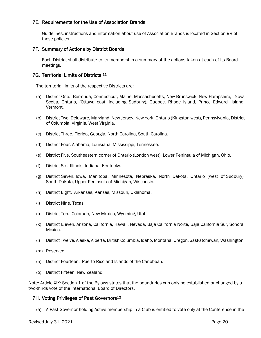#### 7E. Requirements for the Use of Association Brands

Guidelines, instructions and information about use of Association Brands is located in Section 9R of these policies.

#### 7F. Summary of Actions by District Boards

Each District shall distribute to its membership a summary of the actions taken at each of its Board meetings.

#### 7G. Territorial Limits of Districts 11

The territorial limits of the respective Districts are:

- (a) District One. Bermuda, Connecticut, Maine, Massachusetts, New Brunswick, New Hampshire, Nova Scotia, Ontario, (Ottawa east, including Sudbury), Quebec, Rhode Island, Prince Edward Island, Vermont.
- (b) District Two. Delaware, Maryland, New Jersey, New York, Ontario (Kingston west), Pennsylvania, District of Columbia, Virginia, West Virginia.
- (c) District Three. Florida, Georgia, North Carolina, South Carolina.
- (d) District Four. Alabama, Louisiana, Mississippi, Tennessee.
- (e) District Five. Southeastern corner of Ontario (London west), Lower Peninsula of Michigan, Ohio.
- (f) District Six. Illinois, Indiana, Kentucky.
- (g) District Seven. Iowa, Manitoba, Minnesota, Nebraska, North Dakota, Ontario (west of Sudbury), South Dakota, Upper Peninsula of Michigan, Wisconsin.
- (h) District Eight. Arkansas, Kansas, Missouri, Oklahoma.
- (i) District Nine. Texas.
- (j) District Ten. Colorado, New Mexico, Wyoming, Utah.
- (k) District Eleven. Arizona, California, Hawaii, Nevada, Baja California Norte, Baja California Sur, Sonora, Mexico.
- (l) District Twelve. Alaska, Alberta, British Columbia, Idaho, Montana, Oregon, Saskatchewan, Washington.
- (m) Reserved.
- (n) District Fourteen. Puerto Rico and Islands of the Caribbean.
- (o) District Fifteen. New Zealand.

Note: Article XIX: Section 1 of the Bylaws states that the boundaries can only be established or changed by a two-thirds vote of the International Board of Directors.

#### 7H. Voting Privileges of Past Governors<sup>12</sup>

(a) A Past Governor holding Active membership in a Club is entitled to vote only at the Conference in the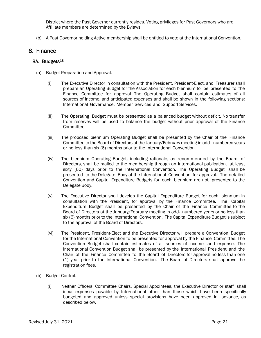District where the Past Governor currently resides. Voting privileges for Past Governors who are Affiliate members are determined by the Bylaws.

(b) A Past Governor holding Active membership shall be entitled to vote at the International Convention.

# 8. Finance

#### 8A. Budgets<sup>13</sup>

- (a) Budget Preparation and Approval.
	- (i) The Executive Director in consultation with the President, President-Elect, and Treasurer shall prepare an Operating Budget for the Association for each biennium to be presented to the Finance Committee for approval. The Operating Budget shall contain estimates of all sources of income, and anticipated expenses and shall be shown in the following sections: International Governance, Member Services and Support Services.
	- (ii) The Operating Budget must be presented as a balanced budget without deficit. No transfer from reserves will be used to balance the budget without prior approval of the Finance Committee.
	- (iii) The proposed biennium Operating Budget shall be presented by the Chair of the Finance Committee to the Board of Directors at the January/February meeting in odd- numbered years or no less than six (6) months prior to the International Convention.
	- (iv) The biennium Operating Budget, including rationale, as recommended by the Board of Directors, shall be mailed to the membership through an International publication, at least sixty (60) days prior to the International Convention. The Operating Budget shall be presented to the Delegate Body at the International Convention for approval. The detailed Convention and Capital Expenditure Budgets for each biennium are not presented to the Delegate Body.
	- (v) The Executive Director shall develop the Capital Expenditure Budget for each biennium in consultation with the President, for approval by the Finance Committee. The Capital Expenditure Budget shall be presented by the Chair of the Finance Committee to the Board of Directors at the January/February meeting in odd- numbered years or no less than six (6) months prior to the International Convention. The Capital Expenditure Budget is subject to the approval of the Board of Directors.
	- (vi) The President, President-Elect and the Executive Director will prepare a Convention Budget for the International Convention to be presented for approval by the Finance Committee. The Convention Budget shall contain estimates of all sources of income and expense. The International Convention Budget shall be presented by the International President and the Chair of the Finance Committee to the Board of Directors for approval no less than one (1) year prior to the International Convention. The Board of Directors shall approve the registration fees.
- (b) Budget Control.
	- (i) Neither Officers, Committee Chairs, Special Appointees, the Executive Director or staff shall incur expenses payable by International other than those which have been specifically budgeted and approved unless special provisions have been approved in advance, as described below.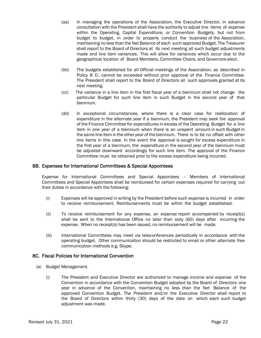- (aa) In managing the operations of the Association, the Executive Director, in advance consultation with the President shall have the authority to adjust line items of expense within the Operating, Capital Expenditure, or Convention Budgets, but not from budget to budget, in order to properly conduct the business of the Association, maintaining no less than the Net Balance of each such approved Budget. The Treasurer shall report to the Board of Directors at its next meeting all such budget adjustments made and line item variances. This will allow for variances which occur due to the geographical location of Board Members, Committee Chairs, and Governors-elect.
- (bb) The budgets established for all Official meetings of the Association, as described in Policy 8 D, cannot be exceeded without prior approval of the Finance Committee. The President shall report to the Board of Directors all such approvals granted at its next meeting.
- (cc) The variance in a line item in the first fiscal year of a biennium shall not change the particular Budget for such line item in such Budget in the second year of that biennium.
- (dd) In exceptional circumstances, where there is a clear case for reallocation of expenditure in the alternate year if a biennium, the President may seek the approval of the Finance Committee for expenditures in excess of the Operating Budget for a line item in one year of a biennium when there is an unspent amount in such Budget in the same line item in the other year of the biennium. There is to be no offset with other line items in this case. In the event the approval is sought for excess expenditure in the first year of a biennium, the expenditure in the second year of the biennium must be adjusted downward accordingly for such line item. The approval of the Finance Committee must be obtained prior to the excess expenditure being incurred.

#### 8B. Expenses for International Committees & Special Appointees

Expense for International Committees and Special Appointees – Members of International Committees and Special Appointees shall be reimbursed for certain expenses required for carrying out their duties in accordance with the following:

- (i) Expenses will be approved in writing by the President before such expense is incurred in order to receive reimbursement. Reimbursements must be within the budget established.
- (ii) To receive reimbursement for any expense, an expense report accompanied by receipt(s) shall be sent to the International Office no later than sixty (60) days after incurring the expense. When no receipt(s) has been issued, no reimbursement will be made.
- (iii) International Committees may meet via teleconferences periodically in accordance with the operating budget. Other communication should be restricted to email or other alternate free communication methods e.g. Skype.

#### 8C. Fiscal Policies for International Convention

- (a) Budget Management.
	- (i) The President and Executive Director are authorized to manage income and expense of the Convention in accordance with the Convention Budget adopted by the Board of Directors one year in advance of the Convention, maintaining no less than the Net Balance of the approved Convention Budget. The President and/or the Executive Director shall report to the Board of Directors within thirty (30) days of the date on which each such budget adjustment was made.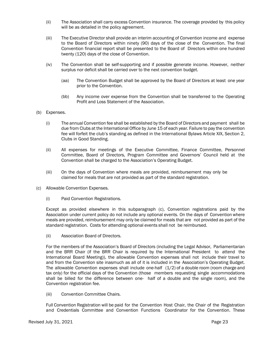- (ii) The Association shall carry excess Convention insurance. The coverage provided by this policy will be as detailed in the policy agreement.
- (iii) The Executive Director shall provide an interim accounting of Convention income and expense to the Board of Directors within ninety (90) days of the close of the Convention. The final Convention financial report shall be presented to the Board of Directors within one hundred twenty (120) days of the close of Convention.
- (iv) The Convention shall be self-supporting and if possible generate income. However, neither surplus nor deficit shall be carried over to the next convention budget.
	- (aa) The Convention Budget shall be approved by the Board of Directors at least one year prior to the Convention.
	- (bb) Any income over expense from the Convention shall be transferred to the Operating Profit and Loss Statement of the Association.
- (b) Expenses.
	- (i) The annual Convention fee shall be established by the Board of Directors and payment shall be due from Clubs at the International Office by June 15 of each year. Failure to pay the convention fee will forfeit the club's standing as defined in the International Bylaws Article XIX, Section 2, Clubs in Good Standing.
	- (ii) All expenses for meetings of the Executive Committee, Finance Committee, Personnel Committee, Board of Directors, Program Committee and Governors' Council held at the Convention shall be charged to the Association's Operating Budget.
	- (iii) On the days of Convention where meals are provided, reimbursement may only be claimed for meals that are not provided as part of the standard registration.
- (c) Allowable Convention Expenses.
	- (i) Paid Convention Registrations.

Except as provided elsewhere in this subparagraph (c), Convention registrations paid by the Association under current policy do not include any optional events. On the days of Convention where meals are provided, reimbursement may only be claimed for meals that are not provided as part of the standard registration. Costs for attending optional events shall not be reimbursed.

(ii) Association Board of Directors.

For the members of the Association's Board of Directors (including the Legal Advisor, Parliamentarian and the BRR Chair (if the BRR Chair is required by the International President to attend the International Board Meeting)), the allowable Convention expenses shall not include their travel to and from the Convention site inasmuch as all of it is included in the Association's Operating Budget. The allowable Convention expenses shall include one-half (1/2) of a double room (room charge and tax only) for the official days of the Convention (those members requesting single accommodations shall be billed for the difference between one- half of a double and the single room), and the Convention registration fee.

(iii) Convention Committee Chairs.

Full Convention Registration will be paid for the Convention Host Chair, the Chair of the Registration and Credentials Committee and Convention Functions Coordinator for the Convention. These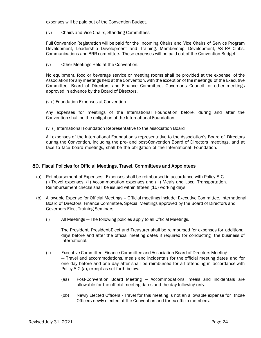expenses will be paid out of the Convention Budget.

(iv) Chairs and Vice Chairs, Standing Committees

Full Convention Registration will be paid for the Incoming Chairs and Vice Chairs of Service Program Development, Leadership Development and Training, Membership Development, ASTRA Clubs, Communications and BRR committee. These expenses will be paid out of the Convention Budget

(v) Other Meetings Held at the Convention.

No equipment, food or beverage service or meeting rooms shall be provided at the expense of the Association for any meetings held at the Convention, with the exception of the meetings of the Executive Committee, Board of Directors and Finance Committee, Governor's Council or other meetings approved in advance by the Board of Directors.

(vi) ) Foundation Expenses at Convention

Any expenses for meetings of the International Foundation before, during and after the Convention shall be the obligation of the International Foundation.

(vii) ) International Foundation Representative to the Association Board

All expenses of the International Foundation's representative to the Association's Board of Directors during the Convention, including the pre- and post-Convention Board of Directors meetings, and at face to face board meetings, shall be the obligation of the International Foundation.

#### 8D. Fiscal Policies for Official Meetings, Travel, Committees and Appointees

- (a) Reimbursement of Expenses: Expenses shall be reimbursed in accordance with Policy 8 G (i) Travel expenses; (ii) Accommodation expenses and (iii) Meals and Local Transportation. Reimbursement checks shall be issued within fifteen (15) working days.
- (b) Allowable Expense for Official Meetings Official meetings include: Executive Committee, International Board of Directors, Finance Committee, Special Meetings approved by the Board of Directors and Governors-Elect Training Seminars.
	- (i) All Meetings The following policies apply to all Official Meetings.

The President, President-Elect and Treasurer shall be reimbursed for expenses for additional days before and after the official meeting dates if required for conducting the business of International.

- (ii) Executive Committee, Finance Committee and Association Board of Directors Meeting — Travel and accommodations, meals and incidentals for the official meeting dates and for one day before and one day after shall be reimbursed for all attending in accordance with Policy 8 G (a), except as set forth below:
	- (aa) Post-Convention Board Meeting Accommodations, meals and incidentals are allowable for the official meeting dates and the day following only.
	- (bb) Newly Elected Officers Travel for this meeting is not an allowable expense for those Officers newly elected at the Convention and for ex-officio members.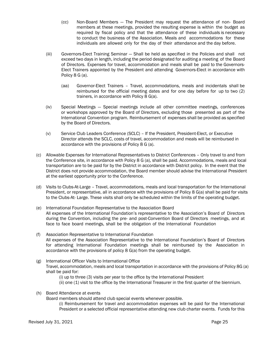- (cc) Non-Board Members The President may request the attendance of non- Board members at these meetings, provided the resulting expense is within the budget as required by fiscal policy and that the attendance of these individuals is necessary to conduct the business of the Association. Meals and accommodations for these individuals are allowed only for the day of their attendance and the day before.
- (iii) Governors-Elect Training Seminar Shall be held as specified in the Policies and shall not exceed two days in length, including the period designated for auditing a meeting of the Board of Directors. Expenses for travel, accommodation and meals shall be paid to the Governors-Elect Trainers appointed by the President and attending Governors-Elect in accordance with Policy 8 G (a).
	- (aa) Governor-Elect Trainers Travel, accommodations, meals and incidentals shall be reimbursed for the official meeting dates and for one day before for up to two (2) trainers, in accordance with Policy 8 G(a).
- (iv) Special Meetings Special meetings include all other committee meetings, conferences or workshops approved by the Board of Directors, excluding those presented as part of the International Convention program. Reimbursement of expenses shall be provided as specified by the Board of Directors.
- (v) Service Club Leaders Conference (SCLC) If the President, President-Elect, or Executive Director attends the SCLC, costs of travel, accommodation and meals will be reimbursed in accordance with the provisions of Policy 8 G (a).
- (c) Allowable Expenses for International Representatives to District Conferences Only travel to and from the Conference site, in accordance with Policy 8 G (a), shall be paid. Accommodations, meals and local transportation are to be paid for by the District in accordance with District policy. In the event that the District does not provide accommodation, the Board member should advise the International President at the earliest opportunity prior to the Conference.
- (d) Visits to Clubs-At-Large Travel, accommodations, meals and local transportation for the International President, or representative, all in accordance with the provisions of Policy 8 G(a) shall be paid for visits to the Clubs-At- Large. These visits shall only be scheduled within the limits of the operating budget.
- (e) International Foundation Representative to the Association Board All expenses of the International Foundation's representative to the Association's Board of Directors during the Convention, including the pre- and post-Convention Board of Directors meetings, and at face to face board meetings, shall be the obligation of the International Foundation
- (f) Association Representative to International Foundation All expenses of the Association Representative to the International Foundation's Board of Directors for attending International Foundation meetings shall be reimbursed by the Association in accordance with the provisions of policy 8 G(a) from the operating budget.
- (g) International Officer Visits to International Office Travel, accommodation, meals and local transportation in accordance with the provisions of Policy 8G (a) shall be paid for:
	- (i) up to three (3) visits per year to the office by the International President
	- (ii) one (1) visit to the office by the International Treasurer in the first quarter of the biennium.
- (h) Board Attendance at events

Board members should attend club special events whenever possible.

(i) Reimbursement for travel and accommodation expenses will be paid for the International President or a selected official representative attending new club charter events. Funds for this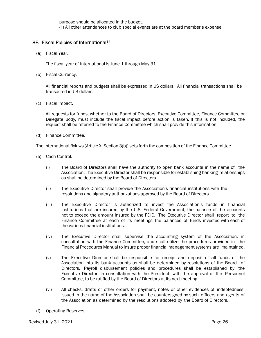purpose should be allocated in the budget.

(ii) All other attendances to club special events are at the board member's expense.

#### 8E. Fiscal Policies of International<sup>14</sup>

(a) Fiscal Year.

The fiscal year of International is June 1 through May 31.

(b) Fiscal Currency.

All financial reports and budgets shall be expressed in US dollars. All financial transactions shall be transacted in US dollars.

(c) Fiscal Impact.

All requests for funds, whether to the Board of Directors, Executive Committee, Finance Committee or Delegate Body, must include the fiscal impact before action is taken. If this is not included, the request shall be referred to the Finance Committee which shall provide this information.

(d) Finance Committee.

The International Bylaws (Article X, Section 3(b)) sets forth the composition of the Finance Committee.

- (e) Cash Control.
	- (i) The Board of Directors shall have the authority to open bank accounts in the name of the Association. The Executive Director shall be responsible for establishing banking relationships as shall be determined by the Board of Directors.
	- (ii) The Executive Director shall provide the Association's financial institutions with the resolutions and signatory authorizations approved by the Board of Directors.
	- (iii) The Executive Director is authorized to invest the Association's funds in financial institutions that are insured by the U.S. Federal Government, the balance of the accounts not to exceed the amount insured by the FDIC. The Executive Director shall report to the Finance Committee at each of its meetings the balances of funds invested with each of the various financial institutions.
	- (iv) The Executive Director shall supervise the accounting system of the Association, in consultation with the Finance Committee, and shall utilize the procedures provided in the Financial Procedures Manual to insure proper financial management systems are maintained.
	- (v) The Executive Director shall be responsible for receipt and deposit of all funds of the Association into its bank accounts as shall be determined by resolutions of the Board of Directors. Payroll disbursement policies and procedures shall be established by the Executive Director, in consultation with the President, with the approval of the Personnel Committee, to be ratified by the Board of Directors at its next meeting.
	- (vi) All checks, drafts or other orders for payment, notes or other evidences of indebtedness, issued in the name of the Association shall be countersigned by such officers and agents of the Association as determined by the resolutions adopted by the Board of Directors.
- (f) Operating Reserves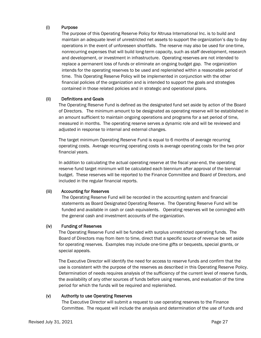#### (i) Purpose

The purpose of this Operating Reserve Policy for Altrusa International Inc. is to build and maintain an adequate level of unrestricted net assets to support the organization's day to day operations in the event of unforeseen shortfalls. The reserve may also be used for one-time, nonrecurring expenses that will build long-term capacity, such as staff development, research and development, or investment in infrastructure. Operating reserves are not intended to replace a permanent loss of funds or eliminate an ongoing budget gap. The organization intends for the operating reserves to be used and replenished within a reasonable period of time. This Operating Reserve Policy will be implemented in conjunction with the other financial policies of the organization and is intended to support the goals and strategies contained in those related policies and in strategic and operational plans.

#### (ii) Definitions and Goals

The Operating Reserve Fund is defined as the designated fund set aside by action of the Board of Directors. The minimum amount to be designated as operating reserve will be established in an amount sufficient to maintain ongoing operations and programs for a set period of time, measured in months. The operating reserve serves a dynamic role and will be reviewed and adjusted in response to internal and external changes.

The target minimum Operating Reserve Fund is equal to 6 months of average recurring operating costs. Average recurring operating costs is average operating costs for the two prior financial years.

In addition to calculating the actual operating reserve at the fiscal year-end, the operating reserve fund target minimum will be calculated each biennium after approval of the biennial budget. These reserves will be reported to the Finance Committee and Board of Directors, and included in the regular financial reports.

#### (iii) Accounting for Reserves

The Operating Reserve Fund will be recorded in the accounting system and financial statements as Board Designated Operating Reserve. The Operating Reserve Fund will be funded and available in cash or cash equivalents. Operating reserves will be comingled with the general cash and investment accounts of the organization.

#### (iv) Funding of Reserves

The Operating Reserve Fund will be funded with surplus unrestricted operating funds. The Board of Directors may from item to time, direct that a specific source of revenue be set aside for operating reserves. Examples may include one-time gifts or bequests, special grants, or special appeals.

The Executive Director will identify the need for access to reserve funds and confirm that the use is consistent with the purpose of the reserves as described in this Operating Reserve Policy. Determination of needs requires analysis of the sufficiency of the current level of reserve funds, the availability of any other sources of funds before using reserves, and evaluation of the time period for which the funds will be required and replenished.

#### (v) Authority to use Operating Reserves

The Executive Director will submit a request to use operating reserves to the Finance Committee. The request will include the analysis and determination of the use of funds and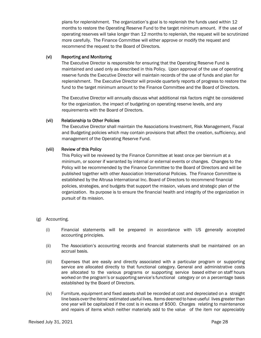plans for replenishment. The organization's goal is to replenish the funds used within 12 months to restore the Operating Reserve Fund to the target minimum amount. If the use of operating reserves will take longer than 12 months to replenish, the request will be scrutinized more carefully. The Finance Committee will either approve or modify the request and recommend the request to the Board of Directors.

#### (vi) Reporting and Monitoring

The Executive Director is responsible for ensuring that the Operating Reserve Fund is maintained and used only as described in this Policy. Upon approval of the use of operating reserve funds the Executive Director will maintain records of the use of funds and plan for replenishment. The Executive Director will provide quarterly reports of progress to restore the fund to the target minimum amount to the Finance Committee and the Board of Directors.

The Executive Director will annually discuss what additional risk factors might be considered for the organization, the impact of budgeting on operating reserve levels, and any requirements with the Board of Directors.

#### (vii) Relationship to Other Policies

The Executive Director shall maintain the Associations Investment, Risk Management, Fiscal and Budgeting policies which may contain provisions that affect the creation, sufficiency, and management of the Operating Reserve Fund.

#### (viii) Review of this Policy

This Policy will be reviewed by the Finance Committee at least once per biennium at a minimum, or sooner if warranted by internal or external events or changes. Changes to the Policy will be recommended by the Finance Committee to the Board of Directors and will be published together with other Association International Policies. The Finance Committee is established by the Altrusa International Inc. Board of Directors to recommend financial policies, strategies, and budgets that support the mission, values and strategic plan of the organization. Its purpose is to ensure the financial health and integrity of the organization in pursuit of its mission.

#### (g) Accounting.

- (i) Financial statements will be prepared in accordance with US generally accepted accounting principles.
- (ii) The Association's accounting records and financial statements shall be maintained on an accrual basis.
- (iii) Expenses that are easily and directly associated with a particular program or supporting service are allocated directly to that functional category. General and administrative costs are allocated to the various programs or supporting service based either on staff hours worked on the program's or supporting service's functional category or on a percentage basis established by the Board of Directors.
- (iv) Furniture, equipment and fixed assets shall be recorded at cost and depreciated on a straight line basis over the items' estimated useful lives. Items deemed to have useful lives greater than one year will be capitalized if the cost is in excess of \$500. Charges relating to maintenance and repairs of items which neither materially add to the value of the item nor appreciably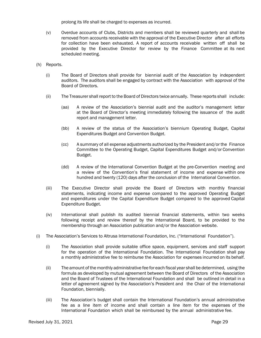prolong its life shall be charged to expenses as incurred.

- (v) Overdue accounts of Clubs, Districts and members shall be reviewed quarterly and shall be removed from accounts receivable with the approval of the Executive Director after all efforts for collection have been exhausted. A report of accounts receivable written off shall be provided by the Executive Director for review by the Finance Committee at its next scheduled meeting.
- (h) Reports.
	- (i) The Board of Directors shall provide for biennial audit of the Association by independent auditors. The auditors shall be engaged by contract with the Association with approval of the Board of Directors.
	- (ii) The Treasurer shall report to the Board of Directors twice annually. These reports shall include:
		- (aa) A review of the Association's biennial audit and the auditor's management letter at the Board of Director's meeting immediately following the issuance of the audit report and management letter.
		- (bb) A review of the status of the Association's biennium Operating Budget, Capital Expenditures Budget and Convention Budget.
		- (cc) A summary of all expense adjustments authorized by the President and/or the Finance Committee to the Operating Budget, Capital Expenditures Budget and/or Convention Budget.
		- (dd) A review of the International Convention Budget at the pre-Convention meeting and a review of the Convention's final statement of income and expense within one hundred and twenty (120) days after the conclusion of the International Convention.
	- (iii) The Executive Director shall provide the Board of Directors with monthly financial statements, indicating income and expense compared to the approved Operating Budget and expenditures under the Capital Expenditure Budget compared to the approved Capital Expenditure Budget.
	- (iv) International shall publish its audited biennial financial statements, within two weeks following receipt and review thereof by the International Board, to be provided to the membership through an Association publication and/or the Association website.
- (i) The Association's Services to Altrusa International Foundation, Inc. ("International Foundation").
	- (i) The Association shall provide suitable office space, equipment, services and staff support for the operation of the International Foundation. The International Foundation shall pay a monthly administrative fee to reimburse the Association for expenses incurred on its behalf.
	- (ii) The amount of the monthly administrative fee for each fiscal year shall be determined, using the formula as developed by mutual agreement between the Board of Directors of the Association and the Board of Trustees of the International Foundation and shall be outlined in detail in a letter of agreement signed by the Association's President and the Chair of the International Foundation, biennially.
	- (iii) The Association's budget shall contain the International Foundation's annual administrative fee as a line item of income and shall contain a line item for the expenses of the International Foundation which shall be reimbursed by the annual administrative fee.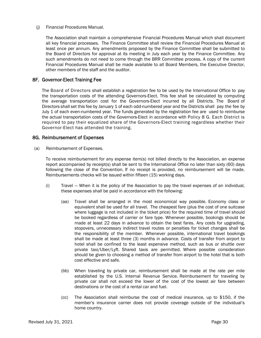#### (j) Financial Procedures Manual.

The Association shall maintain a comprehensive Financial Procedures Manual which shall document all key financial processes. The Finance Committee shall review the Financial Procedures Manual at least once per annum. Any amendments proposed by the Finance Committee shall be submitted to the Board of Directors for approval at its meeting in July each year by the Finance Committee. Any such amendments do not need to come through the BRR Committee process. A copy of the current Financial Procedures Manual shall be made available to all Board Members, the Executive Director, other members of the staff and the auditor.

#### 8F. Governor-Elect Training Fee

The Board of Directors shall establish a registration fee to be used by the International Office to pay the transportation costs of the attending Governors-Elect. This fee shall be calculated by computing the average transportation cost for the Governors-Elect incurred by all Districts. The Board of Directors shall set this fee by January 1 of each odd-numbered year and the Districts shall pay the fee by July 1 of each even-numbered year. The funds generated by the registration fee are used to reimburse the actual transportation costs of the Governors-Elect in accordance with Policy 8 G. Each District is required to pay their equalized share of the Governors-Elect training regardless whether their Governor-Elect has attended the training.

#### 8G. Reimbursement of Expenses

(a) Reimbursement of Expenses.

To receive reimbursement for any expense item(s) not billed directly to the Association, an expense report accompanied by receipt(s) shall be sent to the International Office no later than sixty (60) days following the close of the Convention. If no receipt is provided, no reimbursement will be made. Reimbursements checks will be issued within fifteen (15) working days.

- (i) Travel When it is the policy of the Association to pay the travel expenses of an individual, these expenses shall be paid in accordance with the following:
	- (aa) Travel shall be arranged in the most economical way possible. Economy class or equivalent shall be used for all travel. The cheapest fare (plus the cost of one suitcase where luggage is not included in the ticket price) for the required time of travel should be booked regardless of carrier or fare type. Whenever possible, bookings should be made at least 22 days in advance to obtain the best fares. Any costs for upgrading, stopovers, unnecessary indirect travel routes or penalties for ticket changes shall be the responsibility of the member. Whenever possible, international travel bookings shall be made at least three (3) months in advance. Costs of transfer from airport to hotel shall be confined to the least expensive method, such as bus or shuttle over private taxi/Uber/Lyft. Shared taxis are permitted. Where possible consideration should be given to choosing a method of transfer from airport to the hotel that is both cost effective and safe.
	- (bb) When traveling by private car, reimbursement shall be made at the rate per mile established by the U.S. Internal Revenue Service. Reimbursement for traveling by private car shall not exceed the lower of the cost of the lowest air fare between destinations or the cost of a rental car and fuel.
	- (cc) The Association shall reimburse the cost of medical insurance, up to \$150, if the member's insurance carrier does not provide coverage outside of the individual's home country.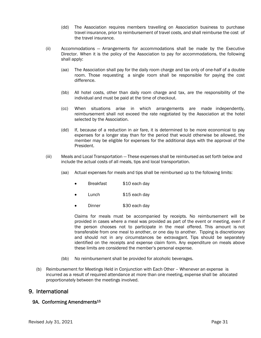- (dd) The Association requires members travelling on Association business to purchase travel insurance, prior to reimbursement of travel costs, and shall reimburse the cost of the travel insurance.
- (ii) Accommodations Arrangements for accommodations shall be made by the Executive Director. When it is the policy of the Association to pay for accommodations, the following shall apply:
	- (aa) The Association shall pay for the daily room charge and tax only of one-half of a double room. Those requesting a single room shall be responsible for paying the cost difference.
	- (bb) All hotel costs, other than daily room charge and tax, are the responsibility of the individual and must be paid at the time of checkout.
	- (cc) When situations arise in which arrangements are made independently, reimbursement shall not exceed the rate negotiated by the Association at the hotel selected by the Association.
	- (dd) If, because of a reduction in air fare, it is determined to be more economical to pay expenses for a longer stay than for the period that would otherwise be allowed, the member may be eligible for expenses for the additional days with the approval of the President.
- (iii) Meals and Local Transportation These expenses shall be reimbursed as set forth below and include the actual costs of all meals, tips and local transportation.
	- (aa) Actual expenses for meals and tips shall be reimbursed up to the following limits:
		- Breakfast \$10 each day
		- Lunch \$15 each day
		- Dinner \$30 each day

Claims for meals must be accompanied by receipts. No reimbursement will be provided in cases where a meal was provided as part of the event or meeting, even if the person chooses not to participate in the meal offered. This amount is not transferable from one meal to another, or one day to another. Tipping is discretionary and should not in any circumstances be extravagant. Tips should be separately identified on the receipts and expense claim form. Any expenditure on meals above these limits are considered the member's personal expense.

- (bb) No reimbursement shall be provided for alcoholic beverages.
- (b) Reimbursement for Meetings Held in Conjunction with Each Other Whenever an expense is incurred as a result of required attendance at more than one meeting, expense shall be allocated proportionately between the meetings involved.

# 9. International

#### 9A. Conforming Amendments<sup>15</sup>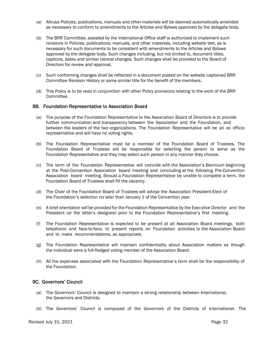- (a) Altrusa Policies, publications, manuals and other materials will be deemed automatically amended as necessary to conform to amendments to the Articles and Bylaws approved by the delegate body.
- (b) The BRR Committee, assisted by the International Office staff is authorized to implement such revisions in Policies, publications, manuals, and other materials, including website text, as is necessary for such documents to be consistent with amendments to the Articles and Bylaws approved by the delegate body. Such changes including, but not limited to, document titles, captions, dates and similar clerical changes. Such changes shall be provided to the Board of Directors for review and approval.
- (c) Such conforming changes shall be reflected in a document posted on the website captioned BRR Committee Revision History or some similar title for the benefit of the members.
- (d) This Policy is to be read in conjunction with other Policy provisions relating to the work of the BRR Committee.

#### 9B. Foundation Representative to Association Board

- (a) The purpose of the Foundation Representative to the Association Board of Directors is to provide further communication and transparency between the Association and the Foundation, and between the leaders of the two organizations. The Foundation Representative will be an ex officio representative and will have no voting rights.
- (b) The Foundation Representative must be a member of the Foundation Board of Trustees. The Foundation Board of Trustees will be responsible for selecting the person to serve as the Foundation Representative and they may select such person in any manner they choose.
- (c) The term of the Foundation Representative will coincide with the Association's Biennium beginning at the Post-Convention Association board meeting and concluding at the following Pre-Convention Association board meeting. Should a Foundation Representative be unable to complete a term, the Foundation Board of Trustees shall fill the vacancy.
- (d) The Chair of the Foundation Board of Trustees will advise the Association President-Elect of the Foundation's selection no later than January 1 of the Convention year.
- (e) A brief orientation will be provided for the Foundation Representative by the Executive Director and the President (or the latter's designee) prior to the Foundation Representative's first meeting.
- (f) The Foundation Representative is expected to be present at all Association Board meetings, both telephonic and face-to-face, to present reports on Foundation activities to the Association Board and to make recommendations, as appropriate.
- (g) The Foundation Representative will maintain confidentiality about Association matters as though the individual were a full-fledged voting member of the Association Board.
- (h) All the expenses associated with the Foundation Representative's term shall be the responsibility of the Foundation.

#### 9C. Governors' Council

- (a) The Governors' Council is designed to maintain a strong relationship between International, the Governors and Districts.
- (b) The Governors' Council is composed of the Governors of the Districts of International. The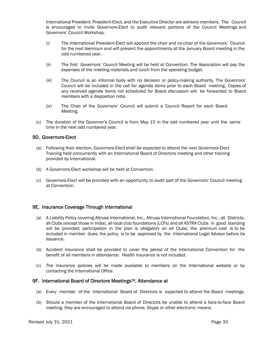International President, President-Elect, and the Executive Director are advisory members. The Council is encouraged to invite Governors-Elect to audit relevant portions of the Council Meetings and Governors' Council Workshop.

- (i) The International President-Elect will appoint the chair and co-chair of the Governors' Council for the next biennium and will present the appointments at the January Board meeting in the odd numbered year.
- (ii) The first Governors' Council Meeting will be held at Convention. The Association will pay the expenses of the meeting materials and lunch from the operating budget.
- (iii) The Council is an informal body with no decision or policy-making authority. The Governors' Council will be included in the call for agenda items prior to each Board meeting. Copies of any received agenda items not scheduled for Board discussion will be forwarded to Board members with a disposition note.
- (iv) The Chair of the Governors' Council will submit a Council Report for each Board Meeting.
- (c) The duration of the Governor's Council is from May 15 in the odd numbered year until the same time in the next odd numbered year.

#### 9D. Governors-Elect

- (a) Following their election, Governors-Elect shall be expected to attend the next Governors-Elect Training held concurrently with an International Board of Directors meeting and other training provided by International.
- (b) A Governors-Elect workshop will be held at Convention.
- (c) Governors-Elect will be provided with an opportunity to audit part of the Governors' Council meeting at Convention.

#### 9E. Insurance Coverage Through International

- (a) A Liability Policy covering Altrusa International, Inc., Altrusa International Foundation, Inc., all Districts, all Clubs (except those in India), all local club foundations (LCFs) and all ASTRA Clubs in good standing will be provided; participation in the plan is obligatory on all Clubs; the premium cost is to be included in member dues; the policy is to be approved by the International Legal Advisor before its issuance.
- (b) Accident insurance shall be provided to cover the period of the International Convention for the benefit of all members in attendance. Health insurance is not included.
- (c) The insurance policies will be made available to members on the International website or by contacting the International Office.

#### 9F. International Board of Directors Meetings16, Attendance at

- (a) Every member of the International Board of Directors is expected to attend the Board meetings.
- (b) Should a member of the International Board of Directors be unable to attend a face-to-face Board meeting, they are encouraged to attend via phone, Skype or other electronic means.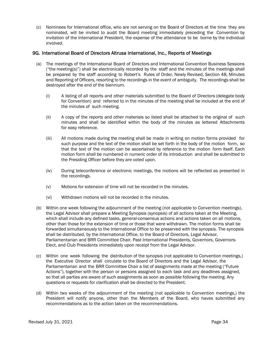(c) Nominees for International office, who are not serving on the Board of Directors at the time they are nominated, will be invited to audit the Board meeting immediately preceding the Convention by invitation of the International President, the expense of the attendance to be borne by the individual involved.

#### 9G. International Board of Directors Altrusa International, Inc., Reports of Meetings

- (a) The meetings of the International Board of Directors and International Convention Business Sessions ("the meeting(s)") shall be electronically recorded by the staff and the minutes of the meetings shall be prepared by the staff according to Robert's Rules of Order, Newly Revised, Section 48, Minutes and Reporting of Officers, resorting to the recordings in the event of ambiguity. The recordings shall be destroyed after the end of the biennium.
	- (i) A listing of all reports and other materials submitted to the Board of Directors (delegate body for Convention) and referred to in the minutes of the meeting shall be included at the end of the minutes of such meeting.
	- (ii) A copy of the reports and other materials so listed shall be attached to the original of such minutes and shall be identified within the body of the minutes as lettered Attachments for easy reference.
	- (iii) All motions made during the meeting shall be made in writing on motion forms provided for such purpose and the text of the motion shall be set forth in the body of the motion form, so that the text of the motion can be ascertained by reference to the motion form itself. Each motion form shall be numbered in numeric order of its introduction and shall be submitted to the Presiding Officer before they are voted upon.
	- (iv) During teleconference or electronic meetings, the motions will be reflected as presented in the recordings.
	- (v) Motions for extension of time will not be recorded in the minutes.
	- (vi) Withdrawn motions will not be recorded in the minutes.
- (b) Within one week following the adjournment of the meeting (not applicable to Convention meetings), the Legal Advisor shall prepare a Meeting Synopsis (synopsis) of all actions taken at the Meeting, which shall include any defined tasks, general-consensus actions and actions taken on all motions, other than those for the extension of time or those that were withdrawn. The motion forms shall be forwarded simultaneously to the International Office to be preserved with the synopsis. The synopsis shall be distributed, by the International Office, to the Board of Directors, Legal Advisor, Parliamentarian and BRR Committee Chair, Past International Presidents, Governors, Governors-Elect, and Club Presidents immediately upon receipt from the Legal Advisor.
- (c) Within one week following the distribution of the synopsis (not applicable to Convention meetings,) the Executive Director shall circulate to the Board of Directors and the Legal Advisor, the Parliamentarian and the BRR Committee Chair a list of assignments made at the meeting ("Future Actions"), together with the person or persons assigned to each task and any deadlines assigned, so that all parties are aware of such assignments as soon as possible following the meeting. Any questions or requests for clarification shall be directed to the President.
- (d) Within two weeks of the adjournment of the meeting (not applicable to Convention meetings,) the President will notify anyone, other than the Members of the Board, who haves submitted any recommendations as to the action taken on the recommendations.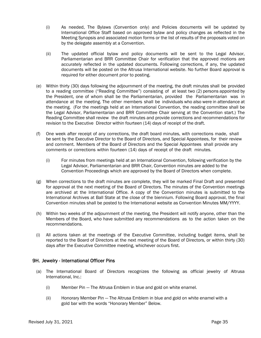- (i) As needed, The Bylaws (Convention only) and Policies documents will be updated by International Office Staff based on approved bylaw and policy changes as reflected in the Meeting Synopsis and associated motion forms or the list of results of the proposals voted on by the delegate assembly at a Convention.
- (ii) The updated official bylaw and policy documents will be sent to the Legal Advisor, Parliamentarian and BRR Committee Chair for verification that the approved motions are accurately reflected in the updated documents. Following corrections, if any, the updated documents will be posted on the Altrusa International website. No further Board approval is required for either document prior to posting.
- (e) Within thirty (30) days following the adjournment of the meeting, the draft minutes shall be provided to a reading committee ("Reading Committee") consisting of at least two (2) persons appointed by the President, one of whom shall be the Parliamentarian, provided the Parliamentarian was in attendance at the meeting. The other members shall be individuals who also were in attendance at the meeting. (For the meetings held at an International Convention, the reading committee shall be the Legal Advisor, Parliamentarian and BRR Committee Chair serving at the Convention start.) The Reading Committee shall review the draft minutes and provide corrections and recommendations for revision to the Executive Director within fourteen (14) days of receipt of the draft.
- (f) One week after receipt of any corrections, the draft board minutes, with corrections made, shall be sent by the Executive Director to the Board of Directors, and Special Appointees, for their review and comment. Members of the Board of Directors and the Special Appointees shall provide any comments or corrections within fourteen (14) days of receipt of the draft minutes.
	- (i) For minutes from meetings held at an International Convention, following verification by the Legal Advisor, Parliamentarian and BRR Chair, Convention minutes are added to the Convention Proceedings which are approved by the Board of Directors when complete.
- (g) When corrections to the draft minutes are complete, they will be marked Final Draft and presented for approval at the next meeting of the Board of Directors. The minutes of the Convention meetings are archived at the International Office. A copy of the Convention minutes is submitted to the International Archives at Ball State at the close of the biennium. Following Board approval, the final Convention minutes shall be posted to the International website as Convention Minutes MM/YYYY.
- (h) Within two weeks of the adjournment of the meeting, the President will notify anyone, other than the Members of the Board, who have submitted any recommendations as to the action taken on the recommendations.
- (i) All actions taken at the meetings of the Executive Committee, including budget items, shall be reported to the Board of Directors at the next meeting of the Board of Directors, or within thirty (30) days after the Executive Committee meeting, whichever occurs first.

#### 9H. Jewelry - International Officer Pins

- (a) The International Board of Directors recognizes the following as official jewelry of Altrusa International, Inc.:
	- (i) Member Pin The Altrusa Emblem in blue and gold on white enamel.
	- (ii) Honorary Member Pin The Altrusa Emblem in blue and gold on white enamel with a gold bar with the words "Honorary Member" Below.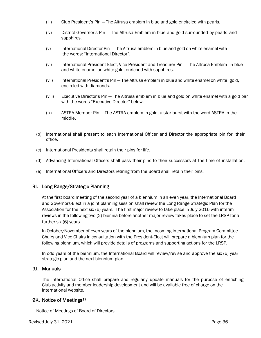- (iii) Club President's Pin The Altrusa emblem in blue and gold encircled with pearls.
- (iv) District Governor's Pin The Altrusa Emblem in blue and gold surrounded by pearls and sapphires.
- (v) International Director Pin The Altrusa emblem in blue and gold on white enamel with the words: "International Director".
- (vi) International President-Elect, Vice President and Treasurer Pin The Altrusa Emblem in blue and white enamel on white gold, enriched with sapphires.
- (vii) International President's Pin The Altrusa emblem in blue and white enamel on white gold, encircled with diamonds.
- (viii) Executive Director's Pin The Altrusa emblem in blue and gold on white enamel with a gold bar with the words "Executive Director" below.
- (ix) ASTRA Member Pin The ASTRA emblem in gold, a star burst with the word ASTRA in the middle.
- (b) International shall present to each International Officer and Director the appropriate pin for their office.
- (c) International Presidents shall retain their pins for life.
- (d) Advancing International Officers shall pass their pins to their successors at the time of installation.
- (e) International Officers and Directors retiring from the Board shall retain their pins.

#### 9I. Long Range/Strategic Planning

At the first board meeting of the second year of a biennium in an even year, the International Board and Governors-Elect in a joint planning session shall review the Long Range Strategic Plan for the Association for the next six (6) years. The first major review to take place in July 2016 with interim reviews in the following two (2) biennia before another major review takes place to set the LRSP for a further six (6) years.

In October/November of even years of the biennium, the incoming International Program Committee Chairs and Vice Chairs in consultation with the President-Elect will prepare a biennium plan for the following biennium, which will provide details of programs and supporting actions for the LRSP.

In odd years of the biennium, the International Board will review/revise and approve the six (6) year strategic plan and the next biennium plan.

## 9J. Manuals

The International Office shall prepare and regularly update manuals for the purpose of enriching Club activity and member leadership development and will be available free of charge on the International website.

#### 9K. Notice of Meetings<sup>17</sup>

Notice of Meetings of Board of Directors.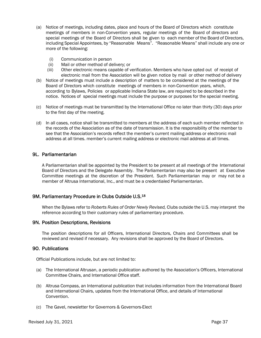- (a) Notice of meetings, including dates, place and hours of the Board of Directors which constitute meetings of members in non-Convention years, regular meetings of the Board of directors and special meetings of the Board of Directors shall be given to each member of the Board of Directors, including Special Appointees, by "Reasonable Means". "Reasonable Means" shall include any one or more of the following:
	- (i) Communication in person
	- (ii) Mail or other method of delivery; or
	- (iii) Other electronic means capable of verification. Members who have opted out of receipt of electronic mail from the Association will be given notice by mail or other method of delivery
- (b) Notice of meetings must include a description of matters to be considered at the meetings of the Board of Directors which constitute meetings of members in non-Convention years, which, according to Bylaws, Policies or applicable Indiana State law, are required to be described in the notice. Notices of special meetings must include the purpose or purposes for the special meeting.
- (c) Notice of meetings must be transmitted by the International Office no later than thirty (30) days prior to the first day of the meeting.
- (d) In all cases, notice shall be transmitted to members at the address of each such member reflected in the records of the Association as of the date of transmission. It is the responsibility of the member to see that the Association's records reflect the member's current mailing address or electronic mail address at all times. member's current mailing address or electronic mail address at all times.

#### 9L. Parliamentarian

A Parliamentarian shall be appointed by the President to be present at all meetings of the International Board of Directors and the Delegate Assembly. The Parliamentarian may also be present at Executive Committee meetings at the discretion of the President. Such Parliamentarian may or may not be a member of Altrusa International, Inc., and must be a credentialed Parliamentarian.

#### 9M. Parliamentary Procedure in Clubs Outside U.S.18

When the Bylaws refer to *Roberts Rules of Order Newly Revised,* Clubs outside the U.S. may interpret the reference according to their customary rules of parliamentary procedure.

#### 9N. Position Descriptions, Revisions

The position descriptions for all Officers, International Directors, Chairs and Committees shall be reviewed and revised if necessary. Any revisions shall be approved by the Board of Directors.

#### 9O. Publications

Official Publications include, but are not limited to:

- (a) The International Altrusan, a periodic publication authored by the Association's Officers, International Committee Chairs, and International Office staff.
- (b) Altrusa Compass, an International publication that includes information from the International Board and International Chairs, updates from the International Office, and details of International Convention.
- (c) The Gavel, newsletter for Governors & Governors-Elect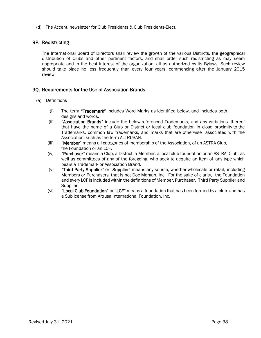(d) The Accent, newsletter for Club Presidents & Club Presidents-Elect.

#### 9P. Redistricting

The International Board of Directors shall review the growth of the various Districts, the geographical distribution of Clubs and other pertinent factors, and shall order such redistricting as may seem appropriate and in the best interest of the organization, all as authorized by its Bylaws. Such review should take place no less frequently than every four years, commencing after the January 2015 review.

#### 9Q. Requirements for the Use of Association Brands

- (a) Definitions
	- (i) The term "Trademark" includes Word Marks as identified below, and includes both designs and words.
	- (ii) "Association Brands" include the below-referenced Trademarks, and any variations thereof that have the name of a Club or District or local club foundation in close proximity to the Trademarks, common law trademarks, and marks that are otherwise associated with the Association, such as the term ALTRUSAN.
	- (iii) "Member" means all categories of membership of the Association, of an ASTRA Club, the Foundation or an LCF.
	- (iv) "Purchaser" means a Club, a District, a Member, a local club foundation or an ASTRA Club, as well as committees of any of the foregoing, who seek to acquire an item of any type which bears a Trademark or Association Brand.
	- (v) "Third Party Supplier" or "Supplier" means any source, whether wholesale or retail, including Members or Purchasers, that is not Doc Morgan, Inc. For the sake of clarity, the Foundation and every LCF is included within the definitions of Member, Purchaser, Third Party Supplier and Supplier.
	- $(vi)$  "Local Club Foundation" or "LCF" means a foundation that has been formed by a club and has a Sublicense from Altrusa International Foundation, Inc.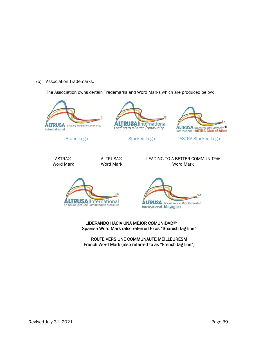(b) Association Trademarks.

The Association owns certain Trademarks and Word Marks which are produced below:









Brand Logo **Stacked Logo** ASTRA Stacked Logo

ASTRA® Word Mark



LEADING TO A BETTER COMMUNITY® Word Mark





LIDERANDO HACIA UNA MEJOR COMUNIDADSM Spanish Word Mark (also referred to as "Spanish tag line"

ROUTE VERS UNE COMMUNAUTE MEILLEURESM French Word Mark (also referred to as "French tag line")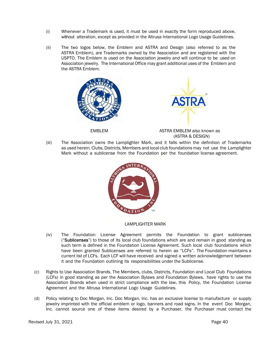- (i) Whenever a Trademark is used, it must be used in exactly the form reproduced above, without alteration, except as provided in the Altrusa International Logo Usage Guidelines.
- (ii) The two logos below, the Emblem and ASTRA and Design (also referred to as the ASTRA Emblem), are Trademarks owned by the Association and are registered with the USPTO. The Emblem is used on the Association jewelry and will continue to be used on Association jewelry. The International Office may grant additional uses of the Emblem and the ASTRA Emblem.



EMBLEM **EMBLEM ASTRA EMBLEM** also known as (ASTRA & DESIGN)

(iii) The Association owns the Lamplighter Mark, and it falls within the definition of Trademarks as used herein. Clubs, Districts, Members and local club foundations may not use the Lamplighter Mark without a sublicense from the Foundation per the foundation license agreement.



LAMPLIGHTER MARK

- (iv) The Foundation License Agreement permits the Foundation to grant sublicenses ("Sublicenses") to those of its local club foundations which are and remain in good standing as such term is defined in the Foundation License Agreement. Such local club foundations which have been granted Sublicenses are referred to herein as "LCFs". The Foundation maintains a current list of LCFs. Each LCF will have received and signed a written acknowledgement between it and the Foundation outlining its responsibilities under the Sublicense.
- (c) Rights to Use Association Brands. The Members, clubs, Districts, Foundation and Local Club Foundations (LCFs) in good standing as per the Association Bylaws and Foundation Bylaws, have rights to use the Association Brands when used in strict compliance with the law, this Policy, the Foundation License Agreement and the Altrusa International Logo Usage Guidelines.
- (d) Policy relating to Doc Morgan, Inc. Doc Morgan, Inc. has an exclusive license to manufacture or supply jewelry imprinted with the official emblem or logo, banners and road signs. In the event Doc Morgan, Inc. cannot source one of these items desired by a Purchaser, the Purchaser must contact the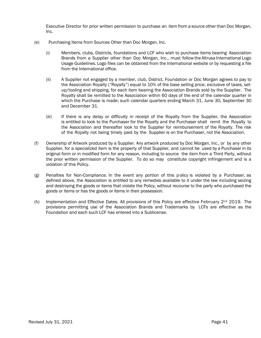Executive Director for prior written permission to purchase an item from a source other than Doc Morgan, Inc.

- (e) Purchasing Items from Sources Other than Doc Morgan, Inc.
	- (i) Members, clubs, Districts, foundations and LCF who wish to purchase items bearing Association Brands from a Supplier other than Doc Morgan, Inc., must follow the Altrusa International Logo Usage Guidelines. Logo files can be obtained from the International website or by requesting a file from the International office.
	- (ii) A Supplier not engaged by a member, club, District, Foundation or Doc Morgan agrees to pay to the Association Royalty ("Royalty") equal to 10% of the base selling price, exclusive of taxes, setup/tooling and shipping, for each item bearing the Association Brands sold by the Supplier. The Royalty shall be remitted to the Association within 60 days of the end of the calendar quarter in which the Purchase is made; such calendar quarters ending March 31, June 30, September 30 and December 31.
	- (iii) If there is any delay or difficulty in receipt of the Royalty from the Supplier, the Association is entitled to look to the Purchaser for the Royalty and the Purchaser shall remit the Royalty to the Association and thereafter look to the Supplier for reimbursement of the Royalty. The risk of the Royalty not being timely paid by the Supplier is on the Purchaser, not the Association.
- (f) Ownership of Artwork produced by a Supplier. Any artwork produced by Doc Morgan, Inc., or by any other Supplier, for a specialized item is the property of that Supplier, and cannot be used by a Purchaser in its original form or in modified form for any reason, including to source the item from a Third Party, without the prior written permission of the Supplier. To do so may constitute copyright infringement and is a violation of this Policy.
- (g) Penalties for Non-Compliance. In the event any portion of this p olicy is violated by a Purchaser, as defined above, the Association is entitled to any remedies available to it under the law including seizing and destroying the goods or items that violate the Policy, without recourse to the party who purchased the goods or items or has the goods or items in their possession.
- (h) Implementation and Effective Dates. All provisions of this Policy are effective February  $2^{nd}$  2019. The provisions permitting use of the Association Brands and Trademarks by LCFs are effective as the Foundation and each such LCF has entered into a Sublicense.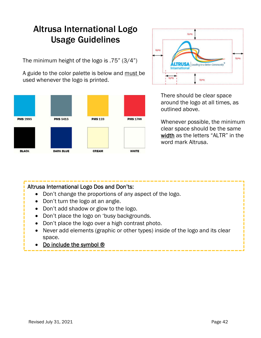# Altrusa International Logo Usage Guidelines

The minimum height of the logo is .75" (3/4")

A guide to the color palette is below and must be used whenever the logo is printed.





There should be clear space around the logo at all times, as outlined above.

Whenever possible, the minimum clear space should be the same width as the letters "ALTR" in the word mark Altrusa.

# Altrusa International Logo Dos and Don'ts:

- Don't change the proportions of any aspect of the logo.
- Don't turn the logo at an angle.
- Don't add shadow or glow to the logo.
- Don't place the logo on 'busy backgrounds.
- Don't place the logo over a high contrast photo.
- Never add elements (graphic or other types) inside of the logo and its clear space.
- Do include the symbol ®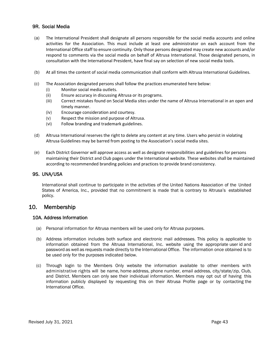#### 9R. Social Media

- (a) The International President shall designate all persons responsible for the social media accounts and online activities for the Association. This must include at least one administrator on each account from the International Office staff to ensure continuity. Only those persons designated may create new accounts and/or respond to comments via the social media on behalf of Altrusa International. Those designated persons, in consultation with the International President, have final say on selection of new social media tools.
- (b) At all times the content of social media communication shall conform with Altrusa International Guidelines.
- (c) The Association designated persons shall follow the practices enumerated here below:
	- (i) Monitor social media outlets.
	- (ii) Ensure accuracy in discussing Altrusa or its programs.
	- (iii) Correct mistakes found on Social Media sites under the name of Altrusa International in an open and timely manner.
	- (iv) Encourage consideration and courtesy.
	- (v) Respect the mission and purpose of Altrusa.
	- (vi) Follow branding and trademark guidelines.
- (d) Altrusa International reserves the right to delete any content at any time. Users who persist in violating Altrusa Guidelines may be barred from posting to the Association's social media sites.
- (e) Each District Governor will approve access as well as designate responsibilities and guidelines for persons maintaining their District and Club pages under the International website. These websites shall be maintained according to recommended branding policies and practices to provide brand consistency.

#### 9S. UNA/USA

International shall continue to participate in the activities of the United Nations Association of the United States of America, Inc., provided that no commitment is made that is contrary to Altrusa's established policy.

### 10. Membership

#### 10A. Address Information

- (a) Personal information for Altrusa members will be used only for Altrusa purposes.
- (b) Address information includes both surface and electronic mail addresses. This policy is applicable to information obtained from the Altrusa International, Inc. website using the appropriate user id and password as well as requests made directly to the International Office. The information once obtained is to be used only for the purposes indicated below.
- (c) Through login to the Members Only website the information available to other members with administrative rights will be name, home address, phone number, email address, city/state/zip, Club, and District. Members can only see their individual information. Members may opt out of having this information publicly displayed by requesting this on their Altrusa Profile page or by contacting the International Office.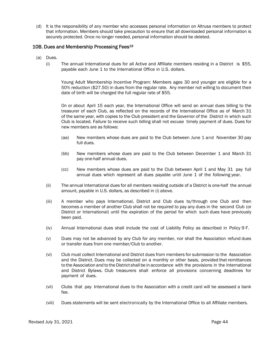(d) It is the responsibility of any member who accesses personal information on Altrusa members to protect that information. Members should take precaution to ensure that all downloaded personal information is securely protected. Once no longer needed, personal information should be deleted.

#### 10B. Dues and Membership Processing Fees19

- (a) Dues.
	- (i) The annual International dues for all Active and Affiliate members residing in a District is \$55, payable each June 1 to the International Office in U.S. dollars.

Young Adult Membership Incentive Program: Members ages 30 and younger are eligible for a 50% reduction (\$27.50) in dues from the regular rate. Any member not willing to document their date of birth will be charged the full regular rate of \$55.

 On or about April 15 each year, the International Office will send an annual dues billing to the treasurer of each Club, as reflected on the records of the International Office as of March 31 of the same year, with copies to the Club president and the Governor of the District in which such Club is located. Failure to receive such billing shall not excuse timely payment of dues. Dues for new members are as follows:

- (aa) New members whose dues are paid to the Club between June 1 and November 30 pay full dues.
- (bb) New members whose dues are paid to the Club between December 1 and March 31 pay one-half annual dues.
- (cc) New members whose dues are paid to the Club between April 1 and May 31 pay full annual dues which represent all dues payable until June 1 of the following year.
- (ii) The annual International dues for all members residing outside of a District is one-half the annual amount, payable in U.S. dollars, as described in (i) above.
- (iii) A member who pays International, District and Club dues to/through one Club and then becomes a member of another Club shall not be required to pay any dues in the second Club (or District or International) until the expiration of the period for which such dues have previously been paid.
- (iv) Annual International dues shall include the cost of Liability Policy as described in Policy 9 F.
- (v) Dues may not be advanced by any Club for any member, nor shall the Association refund dues or transfer dues from one member/Club to another.
- (vi) Club must collect International and District dues from members for submission to the Association and the District. Dues may be collected on a monthly or other basis, provided that remittances to the Association and to the District shall be in accordance with the provisions in the International and District Bylaws. Club treasurers shall enforce all provisions concerning deadlines for payment of dues.
- (vii) Clubs that pay International dues to the Association with a credit card will be assessed a bank fee.
- (viii) Dues statements will be sent electronically by the International Office to all Affiliate members.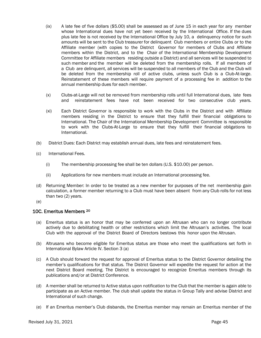- (ix) A late fee of five dollars (\$5.00) shall be assessed as of June 15 in each year for any member whose International dues have not yet been received by the International Office. If the dues plus late fee is not received by the International Office by July 10, a delinquency notice for such amounts will be sent to the Club treasurer for delinquent Club members or entire Clubs or to the Affiliate member (with copies to the District Governor for members of Clubs and Affiliate members within the District, and to the Chair of the International Membership Development Committee for Affiliate members residing outside a District) and all services will be suspended to such member and the member will be deleted from the membership rolls. If all members of a Club are delinquent, all services will be suspended to all members of the Club and the Club will be deleted from the membership roll of active clubs, unless such Club is a Club-At-large. Reinstatement of these members will require payment of a processing fee in addition to the annual membership dues for each member.
- (x) Clubs-at-Large will not be removed from membership rolls until full International dues, late fees and reinstatement fees have not been received for two consecutive club years.
- (xi) Each District Governor is responsible to work with the Clubs in the District and with Affiliate members residing in the District to ensure that they fulfill their financial obligations to International. The Chair of the International Membership Development Committee is responsible to work with the Clubs-At-Large to ensure that they fulfill their financial obligations to International.
- (b) District Dues: Each District may establish annual dues, late fees and reinstatement fees.
- (c) International Fees.
	- (i) The membership processing fee shall be ten dollars (U.S. \$10.00) per person.
	- (ii) Applications for new members must include an International processing fee.
- (d) Returning Member: In order to be treated as a new member for purposes of the net membership gain calculation, a former member returning to a Club must have been absent from any Club rolls for not less than two (2) years.
- (e)

### 10C. Emeritus Members 20

- (a) Emeritus status is an honor that may be conferred upon an Altrusan who can no longer contribute actively due to debilitating health or other restrictions which limit the Altrusan's activities. The local Club with the approval of the District Board of Directors bestows this honor upon the Altrusan.
- (b) Altrusans who become eligible for Emeritus status are those who meet the qualifications set forth in International Bylaw Article IV. Section 3 (a)
- (c) A Club should forward the request for approval of Emeritus status to the District Governor detailing the member's qualifications for that status. The District Governor will expedite the request for action at the next District Board meeting. The District is encouraged to recognize Emeritus members through its publications and/or at District Conference.
- (d) A member shall be returned to Active status upon notification to the Club that the member is again able to participate as an Active member. The club shall update the status in Group Tally and advise District and International of such change.
- (e) If an Emeritus member's Club disbands, the Emeritus member may remain an Emeritus member of the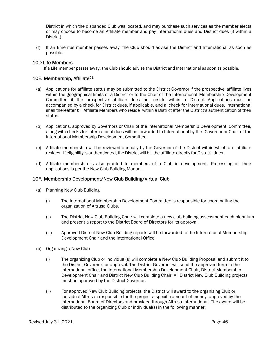District in which the disbanded Club was located, and may purchase such services as the member elects or may choose to become an Affiliate member and pay International dues and District dues (if within a District).

(f) If an Emeritus member passes away, the Club should advise the District and International as soon as possible.

#### 10D Life Members

If a Life member passes away, the Club should advise the District and International as soon as possible.

#### 10E. Membership, Affiliate21

- (a) Applications for affiliate status may be submitted to the District Governor if the prospective affiliate lives within the geographical limits of a District or to the Chair of the International Membership Development Committee if the prospective affiliate does not reside within a District. Applications must be accompanied by a check for District dues, if applicable, and a check for International dues. International shall thereafter bill Affiliate Members who reside within a District after the District's authentication of their status.
- (b) Applications, approved by Governors or Chair of the International Membership Development Committee, along with checks for International dues will be forwarded to International by the Governor or Chair of the International Membership Development Committee.
- (c) Affiliate membership will be reviewed annually by the Governor of the District within which an affiliate resides. If eligibility is authenticated, the District will bill the affiliate directly for District dues.
- (d) Affiliate membership is also granted to members of a Club in development. Processing of their applications is per the New Club Building Manual.

#### 10F. Membership Development/New Club Building/Virtual Club

- (a) Planning New Club Building
	- (i) The International Membership Development Committee is responsible for coordinating the organization of Altrusa Clubs.
	- (ii) The District New Club Building Chair will complete a new club building assessment each biennium and present a report to the District Board of Directors for its approval.
	- (iii) Approved District New Club Building reports will be forwarded to the International Membership Development Chair and the International Office.
- (b) Organizing a New Club
	- (i) The organizing Club or individual(s) will complete a New Club Building Proposal and submit it to the District Governor for approval. The District Governor will send the approved form to the International office, the International Membership Development Chair, District Membership Development Chair and District New Club Building Chair. All District New Club Building projects must be approved by the District Governor.
	- (ii) For approved New Club Building projects, the District will award to the organizing Club or individual Altrusan responsible for the project a specific amount of money, approved by the International Board of Directors and provided through Altrusa International. The award will be distributed to the organizing Club or individual(s) in the following manner: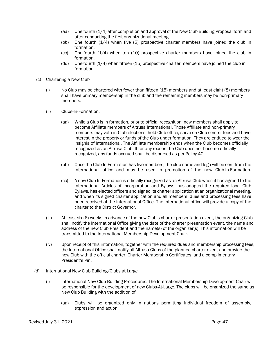- (aa) One fourth (1/4) after completion and approval of the New Club Building Proposal form and after conducting the first organizational meeting.
- (bb) One fourth (1/4) when five (5) prospective charter members have joined the club in formation.
- (cc) One-fourth (1/4) when ten (10) prospective charter members have joined the club in formation.
- (dd) One-fourth (1/4) when fifteen (15) prospective charter members have joined the club in formation.
- (c) Chartering a New Club
	- (i) No Club may be chartered with fewer than fifteen (15) members and at least eight (8) members shall have primary membership in the club and the remaining members may be non-primary members.
	- (ii) Clubs-In-Formation.
		- (aa) While a Club is in formation, prior to official recognition, new members shall apply to become Affiliate members of Altrusa International. Those Affiliate and non-primary members may vote in Club elections, hold Club office, serve on Club committees and have interest in the property or funds of the Club under formation. They are entitled to wear the insignia of International. The Affiliate membership ends when the Club becomes officially recognized as an Altrusa Club. If for any reason the Club does not become officially recognized, any funds accrued shall be disbursed as per Policy 4C.
		- (bb) Once the Club-In-Formation has five members, the club name and logo will be sent from the International office and may be used in promotion of the new Club-In-Formation.
		- (cc) A new Club-In-Formation is officially recognized as an Altrusa Club when it has agreed to the International Articles of Incorporation and Bylaws, has adopted the required local Club Bylaws, has elected officers and signed its charter application at an organizational meeting, and when its signed charter application and all members' dues and processing fees have been received at the International Office. The International office will provide a copy of the charter to the District Governor.
	- (iii) At least six (6) weeks in advance of the new Club's charter presentation event, the organizing Club shall notify the International Office giving the date of the charter presentation event, the name and address of the new Club President and the name(s) of the organizer(s). This information will be transmitted to the International Membership Development Chair.
	- (iv) Upon receipt of this information, together with the required dues and membership processing fees, the International Office shall notify all Altrusa Clubs of the planned charter event and provide the new Club with the official charter, Charter Membership Certificates, and a complimentary President's Pin.
- (d) International New Club Building/Clubs at Large
	- (i) International New Club Building Procedures. The International Membership Development Chair will be responsible for the development of new Clubs-At-Large. The clubs will be organized the same as New Club Building with the addition of:
		- (aa) Clubs will be organized only in nations permitting individual freedom of assembly, expression and action.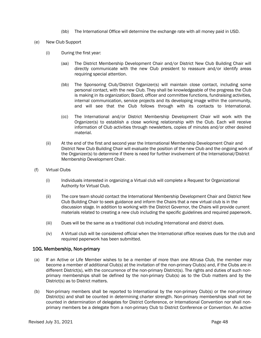- (bb) The International Office will determine the exchange rate with all money paid in USD.
- (e) New Club Support
	- (i) During the first year:
		- (aa) The District Membership Development Chair and/or District New Club Building Chair will directly communicate with the new Club president to reassure and/or identify areas requiring special attention.
		- (bb) The Sponsoring Club/District Organizer(s) will maintain close contact, including some personal contact, with the new Club. They shall be knowledgeable of the progress the Club is making in its organization; Board, officer and committee functions, fundraising activities, internal communication, service projects and its developing image within the community, and will see that the Club follows through with its contacts to International.
		- (cc) The International and/or District Membership Development Chair will work with the Organizer(s) to establish a close working relationship with the Club. Each will receive information of Club activities through newsletters, copies of minutes and/or other desired material.
	- (ii) At the end of the first and second year the International Membership Development Chair and District New Club Building Chair will evaluate the position of the new Club and the ongoing work of the Organizer(s) to determine if there is need for further involvement of the International/District Membership Development Chair.
- (f) Virtual Clubs
	- (i) Individuals interested in organizing a Virtual club will complete a Request for Organizational Authority for Virtual Club.
	- (ii) The core team should contact the International Membership Development Chair and District New Club Building Chair to seek guidance and inform the Chairs that a new virtual club is in the discussion stage. In addition to working with the District Governor, the Chairs will provide current materials related to creating a new club including the specific guidelines and required paperwork.
	- (iii) Dues will be the same as a traditional club including International and district dues.
	- (iv) A Virtual club will be considered official when the International office receives dues for the club and required paperwork has been submitted.

#### 10G. Membership, Non-primary

- (a) If an Active or Life Member wishes to be a member of more than one Altrusa Club, the member may become a member of additional Club(s) at the invitation of the non-primary Club(s) and, if the Clubs are in different District(s), with the concurrence of the non-primary District(s). The rights and duties of such nonprimary memberships shall be defined by the non-primary Club(s) as to the Club matters and by the District(s) as to District matters.
- (b) Non-primary members shall be reported to International by the non-primary Club(s) or the non-primary District(s) and shall be counted in determining charter strength. Non-primary memberships shall not be counted in determination of delegates for District Conference, or International Convention nor shall nonprimary members be a delegate from a non-primary Club to District Conference or Convention. An active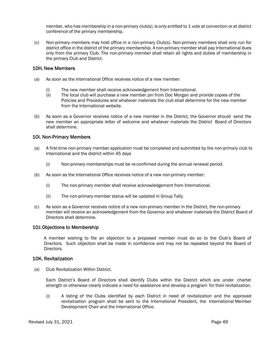member, who has membership in a non-primary club(s), is only entitled to 1 vote at convention or at district conference of the primary membership.

(c) Non-primary members may hold office in a non-primary Club(s). Non-primary members shall only run for district office in the district of the primary membership. A non-primary member shall pay International dues only from the primary Club. The non-primary member shall retain all rights and duties of membership in the primary Club and District.

#### 10H. New Members

- (a) As soon as the International Office receives notice of a new member:
	- (i) The new member shall receive acknowledgement from International.
	- (ii) The local club will purchase a new member pin from Doc Morgan and provide copies of the Policies and Procedures and whatever materials the club shall determine for the new member from the International website.
- (b) As soon as a Governor receives notice of a new member in the District, the Governor should send the new member an appropriate letter of welcome and whatever materials the District Board of Directors shall determine.

#### 10I. Non-Primary Members

- (a) A first-time non-primary member application must be completed and submitted by the non-primary club to International and the district within 45 days
	- (i) Non-primary memberships must be re-confirmed during the annual renewal period.
- (b) As soon as the International Office receives notice of a new non-primary member:
	- (i) The non-primary member shall receive acknowledgement from International.
	- (ii) The non-primary member status will be updated in Group Tally.
- (c) As soon as a Governor receives notice of a new non-primary member in the District, the non-primary member will receive an acknowledgement from the Governor and whatever materials the District Board of Directors shall determine.

#### 10J. Objections to Membership

A member wishing to file an objection to a proposed member must do so to the Club's Board of Directors. Such objection shall be made in confidence and may not be repeated beyond the Board of Directors.

#### 10K. Revitalization

(a) Club Revitalization Within District.

Each District's Board of Directors shall identify Clubs within the District which are under charter strength or otherwise clearly indicate a need for assistance and develop a program for their revitalization.

(i) A listing of the Clubs identified by each District in need of revitalization and the approved revitalization program shall be sent to the International President, the International Member Development Chair and the International Office.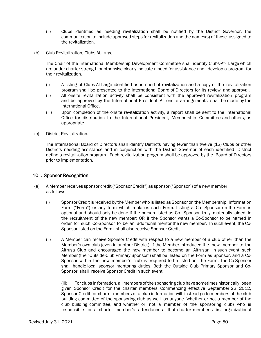- (ii) Clubs identified as needing revitalization shall be notified by the District Governor, the communication to include approved steps for revitalization and the names(s) of those assigned to the revitalization.
- (b) Club Revitalization, Clubs-At-Large.

The Chair of the International Membership Development Committee shall identify Clubs-At- Large which are under charter strength or otherwise clearly indicate a need for assistance and develop a program for their revitalization.

- (i) A listing of Clubs-At-Large identified as in need of revitalization and a copy of the revitalization program shall be presented to the International Board of Directors for its review and approval.
- (ii) All onsite revitalization activity shall be consistent with the approved revitalization program and be approved by the International President. All onsite arrangements shall be made by the International Office.
- (iii) Upon completion of the onsite revitalization activity, a report shall be sent to the International Office for distribution to the International President, Membership Committee and others, as appropriate.
- (c) District Revitalization.

The International Board of Directors shall identify Districts having fewer than twelve (12) Clubs or other Districts needing assistance and in conjunction with the District Governor of each identified District define a revitalization program. Each revitalization program shall be approved by the Board of Directors prior to implementation.

#### 10L. Sponsor Recognition

- (a) A Member receives sponsor credit ("Sponsor Credit") as sponsor ("Sponsor") of a new member as follows:
	- (i) Sponsor Credit is received by the Member who is listed as Sponsor on the Membership Information Form ("Form") or any form which replaces such Form. Listing a Co- Sponsor on the Form is optional and should only be done if the person listed as Co- Sponsor truly materially aided in the recruitment of the new member; OR if the Sponsor wants a Co-Sponsor to be named in order for such Co-Sponsor to be an additional mentor the new member. In such event, the Co-Sponsor listed on the Form shall also receive Sponsor Credit.
	- (ii) A Member can receive Sponsor Credit with respect to a new member of a club other than the Member's own club (even in another District), if the Member introduced the new member to the Altrusa Club and encouraged the new member to become an Altrusan. In such event, such Member (the "Outside-Club Primary Sponsor") shall be listed on the Form as Sponsor, and a Co-Sponsor within the new member's club is required to be listed on the Form. The Co-Sponsor shall handle local sponsor mentoring duties. Both the Outside Club Primary Sponsor and Co-Sponsor shall receive Sponsor Credit in such event.

(iii) For clubs in formation, all members of the sponsoring club have sometimes historically been given Sponsor Credit for the charter members. Commencing effective September 22, 2012, Sponsor Credit for charter members of a club in formation will instead go to members of the club building committee of the sponsoring club as well as anyone (whether or not a member of the club building committee, and whether or not a member of the sponsoring club) who is responsible for a charter member's attendance at that charter member's first organizational